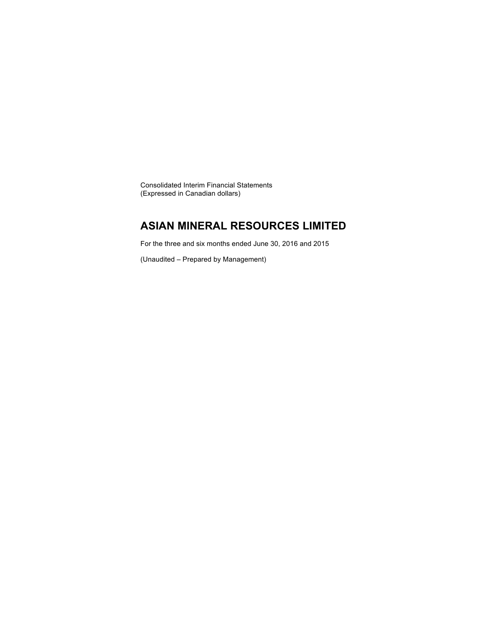Consolidated Interim Financial Statements (Expressed in Canadian dollars)

### **ASIAN MINERAL RESOURCES LIMITED**

For the three and six months ended June 30, 2016 and 2015

(Unaudited – Prepared by Management)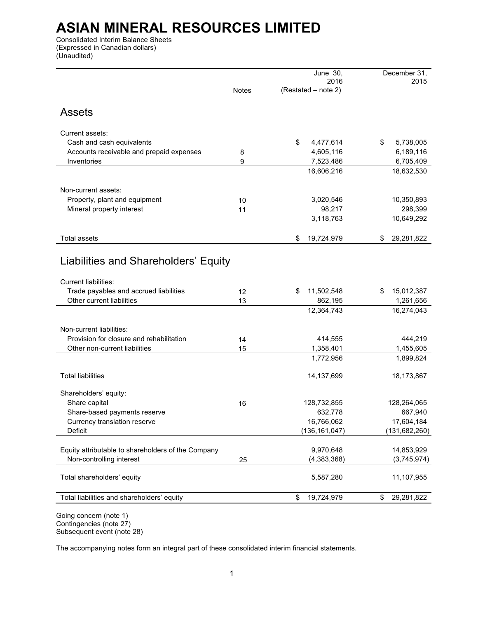Consolidated Interim Balance Sheets (Expressed in Canadian dollars) (Unaudited)

|                                                            |              | June 30,<br>2016    | December 31,<br>2015  |
|------------------------------------------------------------|--------------|---------------------|-----------------------|
|                                                            | <b>Notes</b> | (Restated - note 2) |                       |
|                                                            |              |                     |                       |
| <b>Assets</b>                                              |              |                     |                       |
|                                                            |              |                     |                       |
| Current assets:                                            |              |                     |                       |
| Cash and cash equivalents                                  |              | \$<br>4,477,614     | \$<br>5,738,005       |
| Accounts receivable and prepaid expenses                   | 8            | 4,605,116           | 6,189,116             |
| Inventories                                                | 9            | 7,523,486           | 6,705,409             |
|                                                            |              | 16,606,216          | 18,632,530            |
|                                                            |              |                     |                       |
| Non-current assets:                                        |              |                     |                       |
| Property, plant and equipment<br>Mineral property interest | 10<br>11     | 3,020,546<br>98,217 | 10,350,893<br>298,399 |
|                                                            |              | 3,118,763           | 10,649,292            |
|                                                            |              |                     |                       |
| Total assets                                               |              | \$<br>19,724,979    | 29,281,822<br>\$      |
|                                                            |              |                     |                       |
| Liabilities and Shareholders' Equity                       |              |                     |                       |
|                                                            |              |                     |                       |
| <b>Current liabilities:</b>                                |              |                     |                       |
| Trade payables and accrued liabilities                     | 12           | 11,502,548<br>\$    | 15,012,387<br>\$      |
| Other current liabilities                                  | 13           | 862,195             | 1,261,656             |
|                                                            |              | 12,364,743          | 16,274,043            |
|                                                            |              |                     |                       |
| Non-current liabilities:                                   |              |                     |                       |
| Provision for closure and rehabilitation                   | 14           | 414,555             | 444,219               |
| Other non-current liabilities                              | 15           | 1,358,401           | 1,455,605             |
|                                                            |              | 1,772,956           | 1,899,824             |
| <b>Total liabilities</b>                                   |              | 14, 137, 699        | 18,173,867            |
|                                                            |              |                     |                       |
| Shareholders' equity:                                      |              |                     |                       |
| Share capital                                              | 16           | 128,732,855         | 128,264,065           |
| Share-based payments reserve                               |              | 632,778             | 667,940               |
| Currency translation reserve                               |              | 16,766,062          | 17,604,184            |
| Deficit                                                    |              | (136, 161, 047)     | (131, 682, 260)       |
| Equity attributable to shareholders of the Company         |              | 9,970,648           | 14,853,929            |
| Non-controlling interest                                   | 25           | (4, 383, 368)       | (3,745,974)           |
|                                                            |              |                     |                       |
| Total shareholders' equity                                 |              | 5,587,280           | 11,107,955            |
|                                                            |              |                     |                       |
| Total liabilities and shareholders' equity                 |              | 19,724,979<br>\$    | 29,281,822<br>\$      |
|                                                            |              |                     |                       |

Going concern (note 1) Contingencies (note 27) Subsequent event (note 28)

The accompanying notes form an integral part of these consolidated interim financial statements.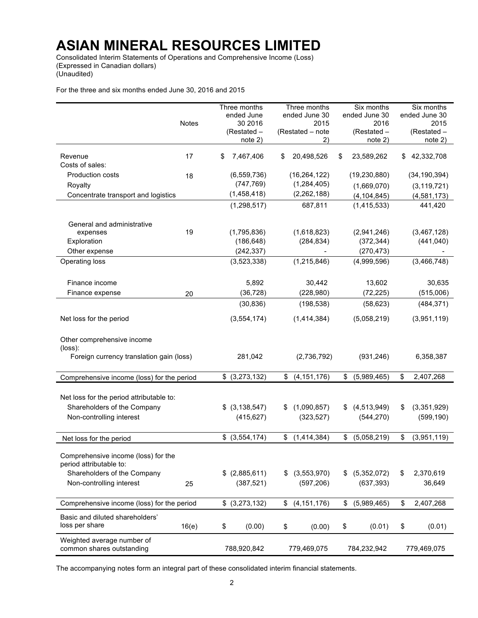Consolidated Interim Statements of Operations and Comprehensive Income (Loss) (Expressed in Canadian dollars) (Unaudited)

For the three and six months ended June 30, 2016 and 2015

|                                            |              | Three months      | Three months        | Six months        | Six months        |        |
|--------------------------------------------|--------------|-------------------|---------------------|-------------------|-------------------|--------|
|                                            |              | ended June        | ended June 30       | ended June 30     | ended June 30     |        |
|                                            | <b>Notes</b> | 30 2016           | 2015                | 2016              |                   | 2015   |
|                                            |              | (Restated -       | (Restated - note    | (Restated -       | (Restated -       |        |
|                                            |              | note 2)           | 2)                  | note 2)           | note 2)           |        |
|                                            |              |                   |                     |                   |                   |        |
| Revenue                                    | 17           | 7,467,406<br>\$   | 20,498,526<br>S     | 23.589.262<br>S   | \$42,332,708      |        |
| Costs of sales:                            |              |                   |                     |                   |                   |        |
| Production costs                           | 18           | (6, 559, 736)     | (16, 264, 122)      | (19, 230, 880)    | (34, 190, 394)    |        |
| Royalty                                    |              | (747, 769)        | (1, 284, 405)       | (1,669,070)       | (3, 119, 721)     |        |
| Concentrate transport and logistics        |              | (1,458,418)       | (2, 262, 188)       | (4, 104, 845)     | (4,581,173)       |        |
|                                            |              | (1, 298, 517)     | 687,811             | (1, 415, 533)     | 441,420           |        |
|                                            |              |                   |                     |                   |                   |        |
| General and administrative                 |              |                   |                     |                   |                   |        |
| expenses                                   | 19           | (1,795,836)       | (1,618,823)         | (2,941,246)       | (3,467,128)       |        |
|                                            |              |                   |                     |                   |                   |        |
| Exploration                                |              | (186, 648)        | (284, 834)          | (372, 344)        | (441, 040)        |        |
| Other expense                              |              | (242, 337)        | Ξ.                  | (270, 473)        |                   |        |
| Operating loss                             |              | (3,523,338)       | (1, 215, 846)       | (4,999,596)       | (3,466,748)       |        |
|                                            |              |                   |                     |                   |                   |        |
| Finance income                             |              | 5,892             | 30,442              | 13,602            |                   | 30,635 |
|                                            |              | (36, 728)         | (228,980)           | (72, 225)         |                   |        |
| Finance expense                            | 20           |                   |                     |                   | (515,006)         |        |
|                                            |              | (30, 836)         | (198, 538)          | (58, 623)         | (484, 371)        |        |
| Net loss for the period                    |              | (3, 554, 174)     | (1,414,384)         | (5,058,219)       | (3,951,119)       |        |
|                                            |              |                   |                     |                   |                   |        |
|                                            |              |                   |                     |                   |                   |        |
| Other comprehensive income                 |              |                   |                     |                   |                   |        |
| (loss):                                    |              |                   |                     |                   |                   |        |
| Foreign currency translation gain (loss)   |              | 281,042           | (2,736,792)         | (931, 246)        | 6,358,387         |        |
|                                            |              |                   |                     |                   |                   |        |
| Comprehensive income (loss) for the period |              | \$ (3,273,132)    | (4, 151, 176)<br>\$ | (5,989,465)<br>\$ | \$<br>2,407,268   |        |
|                                            |              |                   |                     |                   |                   |        |
| Net loss for the period attributable to:   |              |                   |                     |                   |                   |        |
| Shareholders of the Company                |              | $$$ (3,138,547)   | (1,090,857)<br>S.   | \$ (4,513,949)    | (3,351,929)<br>S  |        |
|                                            |              |                   |                     |                   |                   |        |
| Non-controlling interest                   |              | (415, 627)        | (323, 527)          | (544, 270)        | (599, 190)        |        |
|                                            |              |                   |                     |                   |                   |        |
| Net loss for the period                    |              | $$$ $(3,554,174)$ | (1,414,384)<br>\$   | \$<br>(5,058,219) | \$<br>(3,951,119) |        |
|                                            |              |                   |                     |                   |                   |        |
| Comprehensive income (loss) for the        |              |                   |                     |                   |                   |        |
| period attributable to:                    |              |                   |                     |                   |                   |        |
| Shareholders of the Company                |              | $$$ (2,885,611)   | (3, 553, 970)<br>S  | (5,352,072)<br>\$ | 2,370,619<br>\$   |        |
| Non-controlling interest                   | 25           | (387, 521)        | (597, 206)          | (637, 393)        | 36,649            |        |
|                                            |              |                   |                     |                   |                   |        |
|                                            |              |                   |                     |                   |                   |        |
| Comprehensive income (loss) for the period |              | \$ (3,273,132)    | \$<br>(4, 151, 176) | \$<br>(5,989,465) | \$<br>2,407,268   |        |
| Basic and diluted shareholders'            |              |                   |                     |                   |                   |        |
| loss per share                             | 16(e)        | \$<br>(0.00)      | \$<br>(0.00)        | \$<br>(0.01)      | \$                | (0.01) |
|                                            |              |                   |                     |                   |                   |        |
| Weighted average number of                 |              |                   |                     |                   |                   |        |
| common shares outstanding                  |              | 788,920,842       | 779,469,075         | 784,232,942       | 779,469,075       |        |

The accompanying notes form an integral part of these consolidated interim financial statements.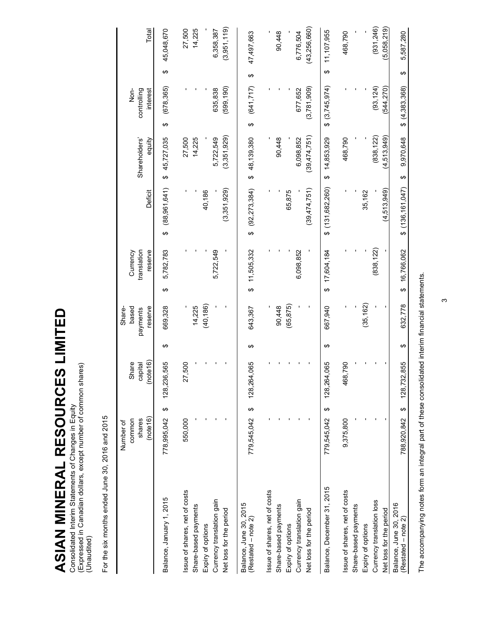ASIAN MINERAL RESOURCES LIMITED **ASIAN MINERAL RESOURCES LIMITED** Consolidated Interim Statements of Changes in Equity

Consolidated Interim Statements of Changes in Equity<br>(Expressed in Canadian dollars, except number of common shares)<br>(Unaudited) (Expressed in Canadian dollars, except number of common shares) (Unaudited)

| ţ                  |
|--------------------|
| š                  |
| 2700<br>)<br>)<br> |
|                    |
| ă                  |
|                    |
| co Ca              |
| ì                  |
| $\frac{1}{2}$      |
| $\frac{1}{2}$      |
|                    |

|                                               | common<br>Number of |   | Share                   |   | based<br>Share-     |                        | Currency               |                    |                         | Nor-                    |   |                |
|-----------------------------------------------|---------------------|---|-------------------------|---|---------------------|------------------------|------------------------|--------------------|-------------------------|-------------------------|---|----------------|
|                                               | (note 16)<br>shares |   | (note 16)<br>capital    |   | reserve<br>payments |                        | translation<br>reserve | Deficit            | Shareholders'<br>equity | controlling<br>interest |   | Total          |
| Balance, January 1, 2015                      | ↮<br>778,995,042    |   | 128,236,565             | ↮ | 669,328             | ↮                      | 5,782,783              | (88,961,641)<br>↮  | 45,727,035<br>↮         | (678, 365)<br>↮         | ↮ | 45,048,670     |
| Issue of shares, net of costs                 | 550,000             |   | 27,500                  |   |                     |                        |                        |                    | 27,500                  |                         |   | 27,500         |
| Share-based payments                          |                     |   |                         |   | 14,225              |                        |                        |                    | 14,225                  |                         |   | 14,225         |
| Expiry of options                             |                     |   |                         |   | (40, 186)           |                        |                        | 40,186             |                         |                         |   |                |
| Currency translation gain                     |                     |   |                         |   |                     |                        | 5,722,549              |                    | 5,722,549               | 635,838                 |   | 6,358,387      |
| Net loss for the period                       |                     |   |                         |   |                     |                        |                        | (3,351,929)        | (3,351,929)             | (599, 190)              |   | (3,951,119)    |
| Balance, June 30, 2015                        |                     |   |                         |   |                     |                        |                        |                    |                         |                         |   |                |
| (Restated – note 2)                           | 779,545,042 \$      |   | <b>DSO</b><br>128,264,0 | ↮ | 643,367             |                        | \$11,505,332           | $$^{(92,273,384)}$ | \$48,139,380            | (641, 717)<br>↔         | ↮ | 47,497,663     |
| Issue of shares, net of costs                 |                     |   |                         |   |                     |                        |                        |                    |                         |                         |   |                |
| Share-based payments                          |                     |   |                         |   | 90,448              |                        |                        |                    | 90,448                  |                         |   | 90,448         |
| Expiry of options                             |                     |   |                         |   | (65, 875)           |                        |                        | 65,875             |                         |                         |   |                |
| Currency translation gain                     |                     |   |                         |   |                     |                        | 6,098,852              |                    | 6,098,852               | 677,652                 |   | 6,776,504      |
| Net loss for the period                       |                     |   |                         |   |                     |                        |                        | (39,474,751)       | (39,474,751)            | (3,781,909)             |   | (43, 256, 660) |
| Balance, December 31, 2015                    | 779,545,042         | ↔ | 890<br>128,264,0        | ↮ | 667,940             | $\boldsymbol{\varphi}$ | 17,604,184             | \$(131, 682, 260)  | 14,853,929<br>↮         | \$(3,745,974)           | ↮ | 11,107,955     |
| Issue of shares, net of costs                 | 9,375,800           |   | 062<br>468,7            |   |                     |                        |                        |                    | 468,790                 |                         |   | 468,790        |
| Share-based payments                          |                     |   |                         |   |                     |                        |                        |                    |                         |                         |   |                |
| Expiry of options                             |                     |   |                         |   | (35, 162)           |                        |                        | 35,162             |                         |                         |   |                |
| Currency translation loss                     |                     |   |                         |   |                     |                        | (838, 122)             |                    | (838, 122)              | (93, 124)               |   | (931, 246)     |
| Net loss for the period                       |                     |   |                         |   |                     |                        |                        | (4,513,949)        | (4,513,949)             | 544,270)                |   | 5,058,219)     |
| Balance, June 30, 2016<br>(Restated - note 2) | 788,920,842         | ↔ | 128,732,855             | ↮ | 632.778             | ↔                      | 16,766,062             | \$ (136,161,047)   | 9,970,648<br>↮          | \$(4.383.368)           | ↮ | 5.587.280      |

The accompanying notes form an integral part of these consolidated interim financial statements. The accompanying notes form an integral part of these consolidated interim financial statements.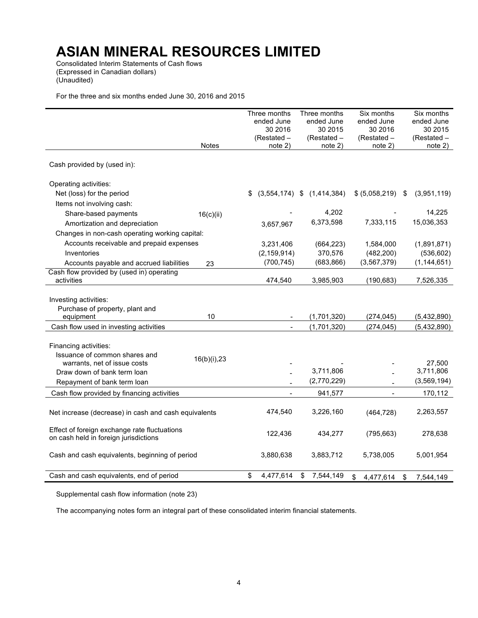Consolidated Interim Statements of Cash flows (Expressed in Canadian dollars) (Unaudited)

For the three and six months ended June 30, 2016 and 2015

|                                                      |              | Three months           | Three months                   | Six months             | Six months                 |
|------------------------------------------------------|--------------|------------------------|--------------------------------|------------------------|----------------------------|
|                                                      |              | ended June             | ended June                     | ended June             | ended June                 |
|                                                      |              | 30 2016                | 30 2015                        | 30 2016                | 30 2015                    |
|                                                      | <b>Notes</b> | (Restated -<br>note 2) | (Restated -<br>note 2)         | (Restated -<br>note 2) | (Restated -<br>note 2)     |
|                                                      |              |                        |                                |                        |                            |
| Cash provided by (used in):                          |              |                        |                                |                        |                            |
| Operating activities:                                |              |                        |                                |                        |                            |
| Net (loss) for the period                            |              | \$                     | $(3,554,174)$ \$ $(1,414,384)$ | \$ (5,058,219)         | \$<br>(3,951,119)          |
| Items not involving cash:                            |              |                        |                                |                        |                            |
| Share-based payments                                 | 16(c)(ii)    |                        | 4,202                          |                        | 14,225                     |
| Amortization and depreciation                        |              | 3,657,967              | 6,373,598                      | 7,333,115              | 15,036,353                 |
| Changes in non-cash operating working capital:       |              |                        |                                |                        |                            |
| Accounts receivable and prepaid expenses             |              | 3,231,406              | (664, 223)                     | 1,584,000              | (1,891,871)                |
| Inventories                                          |              | (2, 159, 914)          | 370,576                        | (482, 200)             | (536, 602)                 |
| Accounts payable and accrued liabilities             | 23           | (700, 745)             | (683, 866)                     | (3, 567, 379)          | (1, 144, 651)              |
| Cash flow provided by (used in) operating            |              |                        |                                |                        |                            |
| activities                                           |              | 474,540                | 3,985,903                      | (190, 683)             | 7,526,335                  |
|                                                      |              |                        |                                |                        |                            |
| Investing activities:                                |              |                        |                                |                        |                            |
| Purchase of property, plant and                      | 10           |                        |                                |                        |                            |
| equipment<br>Cash flow used in investing activities  |              |                        | (1,701,320)<br>(1,701,320)     | (274, 045)             | (5,432,890)<br>(5,432,890) |
|                                                      |              |                        |                                | (274, 045)             |                            |
| Financing activities:                                |              |                        |                                |                        |                            |
| Issuance of common shares and                        |              |                        |                                |                        |                            |
| warrants, net of issue costs                         | 16(b)(i), 23 |                        |                                |                        | 27,500                     |
| Draw down of bank term loan                          |              |                        | 3,711,806                      |                        | 3,711,806                  |
| Repayment of bank term loan                          |              |                        | (2,770,229)                    |                        | (3, 569, 194)              |
| Cash flow provided by financing activities           |              |                        | 941,577                        |                        | 170,112                    |
|                                                      |              |                        |                                |                        |                            |
| Net increase (decrease) in cash and cash equivalents |              | 474,540                | 3,226,160                      | (464, 728)             | 2,263,557                  |
|                                                      |              |                        |                                |                        |                            |
| Effect of foreign exchange rate fluctuations         |              | 122,436                | 434,277                        | (795, 663)             | 278,638                    |
| on cash held in foreign jurisdictions                |              |                        |                                |                        |                            |
| Cash and cash equivalents, beginning of period       |              | 3,880,638              | 3,883,712                      | 5,738,005              | 5,001,954                  |
|                                                      |              |                        |                                |                        |                            |
| Cash and cash equivalents, end of period             |              | \$<br>4,477,614        | \$                             |                        |                            |
|                                                      |              |                        | 7,544,149                      | \$<br>4,477,614        | \$<br>7,544,149            |

Supplemental cash flow information (note 23)

The accompanying notes form an integral part of these consolidated interim financial statements.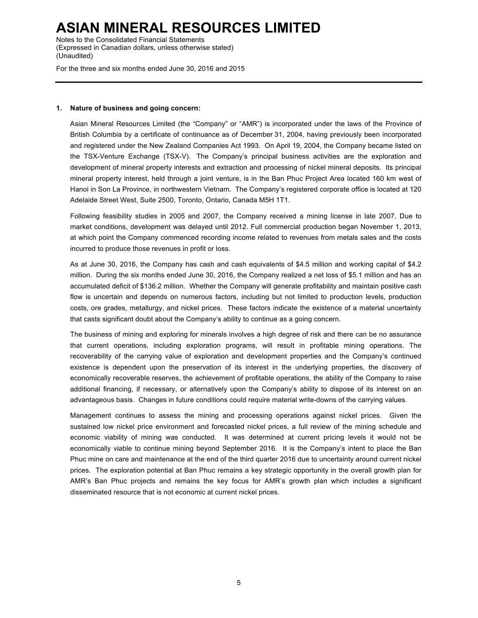Notes to the Consolidated Financial Statements (Expressed in Canadian dollars, unless otherwise stated) (Unaudited)

For the three and six months ended June 30, 2016 and 2015

#### **1. Nature of business and going concern:**

Asian Mineral Resources Limited (the "Company" or "AMR") is incorporated under the laws of the Province of British Columbia by a certificate of continuance as of December 31, 2004, having previously been incorporated and registered under the New Zealand Companies Act 1993. On April 19, 2004, the Company became listed on the TSX-Venture Exchange (TSX-V). The Company's principal business activities are the exploration and development of mineral property interests and extraction and processing of nickel mineral deposits. Its principal mineral property interest, held through a joint venture, is in the Ban Phuc Project Area located 160 km west of Hanoi in Son La Province, in northwestern Vietnam. The Company's registered corporate office is located at 120 Adelaide Street West, Suite 2500, Toronto, Ontario, Canada M5H 1T1.

Following feasibility studies in 2005 and 2007, the Company received a mining license in late 2007. Due to market conditions, development was delayed until 2012. Full commercial production began November 1, 2013, at which point the Company commenced recording income related to revenues from metals sales and the costs incurred to produce those revenues in profit or loss.

As at June 30, 2016, the Company has cash and cash equivalents of \$4.5 million and working capital of \$4.2 million. During the six months ended June 30, 2016, the Company realized a net loss of \$5.1 million and has an accumulated deficit of \$136.2 million. Whether the Company will generate profitability and maintain positive cash flow is uncertain and depends on numerous factors, including but not limited to production levels, production costs, ore grades, metallurgy, and nickel prices. These factors indicate the existence of a material uncertainty that casts significant doubt about the Company's ability to continue as a going concern.

The business of mining and exploring for minerals involves a high degree of risk and there can be no assurance that current operations, including exploration programs, will result in profitable mining operations. The recoverability of the carrying value of exploration and development properties and the Company's continued existence is dependent upon the preservation of its interest in the underlying properties, the discovery of economically recoverable reserves, the achievement of profitable operations, the ability of the Company to raise additional financing, if necessary, or alternatively upon the Company's ability to dispose of its interest on an advantageous basis. Changes in future conditions could require material write-downs of the carrying values.

Management continues to assess the mining and processing operations against nickel prices. Given the sustained low nickel price environment and forecasted nickel prices, a full review of the mining schedule and economic viability of mining was conducted. It was determined at current pricing levels it would not be economically viable to continue mining beyond September 2016. It is the Company's intent to place the Ban Phuc mine on care and maintenance at the end of the third quarter 2016 due to uncertainty around current nickel prices. The exploration potential at Ban Phuc remains a key strategic opportunity in the overall growth plan for AMR's Ban Phuc projects and remains the key focus for AMR's growth plan which includes a significant disseminated resource that is not economic at current nickel prices.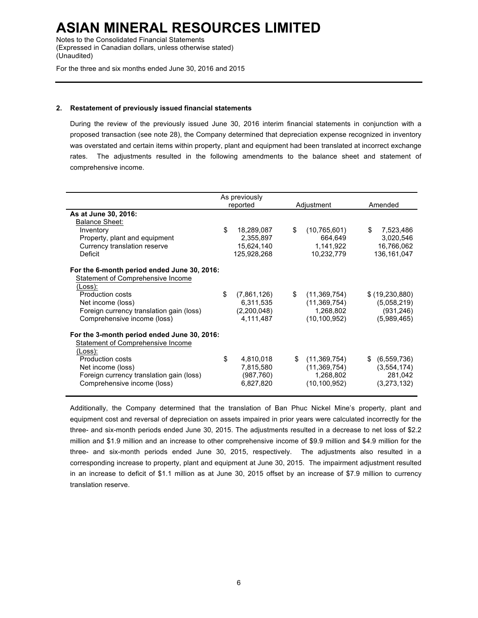Notes to the Consolidated Financial Statements (Expressed in Canadian dollars, unless otherwise stated) (Unaudited)

For the three and six months ended June 30, 2016 and 2015

### **2. Restatement of previously issued financial statements**

During the review of the previously issued June 30, 2016 interim financial statements in conjunction with a proposed transaction (see note 28), the Company determined that depreciation expense recognized in inventory was overstated and certain items within property, plant and equipment had been translated at incorrect exchange rates. The adjustments resulted in the following amendments to the balance sheet and statement of comprehensive income.

|                                             | As previously     |                      | Amended         |
|---------------------------------------------|-------------------|----------------------|-----------------|
|                                             | reported          | Adjustment           |                 |
| As at June 30, 2016:                        |                   |                      |                 |
| <b>Balance Sheet:</b>                       |                   |                      |                 |
| Inventory                                   | \$<br>18,289,087  | \$<br>(10,765,601)   | \$<br>7,523,486 |
| Property, plant and equipment               | 2,355,897         | 664,649              | 3,020,546       |
| Currency translation reserve                | 15,624,140        | 1,141,922            | 16,766,062      |
| Deficit                                     | 125,928,268       | 10,232,779           | 136, 161, 047   |
| For the 6-month period ended June 30, 2016: |                   |                      |                 |
| Statement of Comprehensive Income           |                   |                      |                 |
| (Loss):                                     |                   |                      |                 |
| <b>Production costs</b>                     | \$<br>(7,861,126) | \$<br>(11, 369, 754) | \$ (19,230,880) |
| Net income (loss)                           | 6,311,535         | (11, 369, 754)       | (5,058,219)     |
| Foreign currency translation gain (loss)    | (2,200,048)       | 1,268,802            | (931, 246)      |
|                                             | 4,111,487         | (10, 100, 952)       | (5,989,465)     |
| Comprehensive income (loss)                 |                   |                      |                 |
| For the 3-month period ended June 30, 2016: |                   |                      |                 |
| Statement of Comprehensive Income           |                   |                      |                 |
| (Loss):                                     |                   |                      |                 |
| Production costs                            | \$<br>4,810,018   | \$<br>(11,369,754)   | \$ (6,559,736)  |
| Net income (loss)                           | 7,815,580         | (11, 369, 754)       | (3,554,174)     |
| Foreign currency translation gain (loss)    | (987,760)         | 1,268,802            | 281,042         |
| Comprehensive income (loss)                 | 6,827,820         | (10, 100, 952)       | (3,273,132)     |
|                                             |                   |                      |                 |

Additionally, the Company determined that the translation of Ban Phuc Nickel Mine's property, plant and equipment cost and reversal of depreciation on assets impaired in prior years were calculated incorrectly for the three- and six-month periods ended June 30, 2015. The adjustments resulted in a decrease to net loss of \$2.2 million and \$1.9 million and an increase to other comprehensive income of \$9.9 million and \$4.9 million for the three- and six-month periods ended June 30, 2015, respectively. The adjustments also resulted in a corresponding increase to property, plant and equipment at June 30, 2015. The impairment adjustment resulted in an increase to deficit of \$1.1 million as at June 30, 2015 offset by an increase of \$7.9 million to currency translation reserve.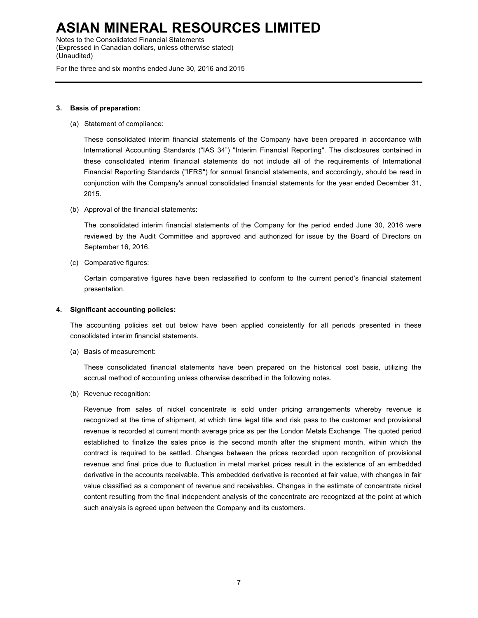Notes to the Consolidated Financial Statements (Expressed in Canadian dollars, unless otherwise stated) (Unaudited)

For the three and six months ended June 30, 2016 and 2015

#### **3. Basis of preparation:**

(a) Statement of compliance:

These consolidated interim financial statements of the Company have been prepared in accordance with International Accounting Standards ("IAS 34") "Interim Financial Reporting". The disclosures contained in these consolidated interim financial statements do not include all of the requirements of International Financial Reporting Standards ("IFRS") for annual financial statements, and accordingly, should be read in conjunction with the Company's annual consolidated financial statements for the year ended December 31, 2015.

(b) Approval of the financial statements:

The consolidated interim financial statements of the Company for the period ended June 30, 2016 were reviewed by the Audit Committee and approved and authorized for issue by the Board of Directors on September 16, 2016.

(c) Comparative figures:

Certain comparative figures have been reclassified to conform to the current period's financial statement presentation.

#### **4. Significant accounting policies:**

The accounting policies set out below have been applied consistently for all periods presented in these consolidated interim financial statements.

(a) Basis of measurement:

These consolidated financial statements have been prepared on the historical cost basis, utilizing the accrual method of accounting unless otherwise described in the following notes.

(b) Revenue recognition:

Revenue from sales of nickel concentrate is sold under pricing arrangements whereby revenue is recognized at the time of shipment, at which time legal title and risk pass to the customer and provisional revenue is recorded at current month average price as per the London Metals Exchange. The quoted period established to finalize the sales price is the second month after the shipment month, within which the contract is required to be settled. Changes between the prices recorded upon recognition of provisional revenue and final price due to fluctuation in metal market prices result in the existence of an embedded derivative in the accounts receivable. This embedded derivative is recorded at fair value, with changes in fair value classified as a component of revenue and receivables. Changes in the estimate of concentrate nickel content resulting from the final independent analysis of the concentrate are recognized at the point at which such analysis is agreed upon between the Company and its customers.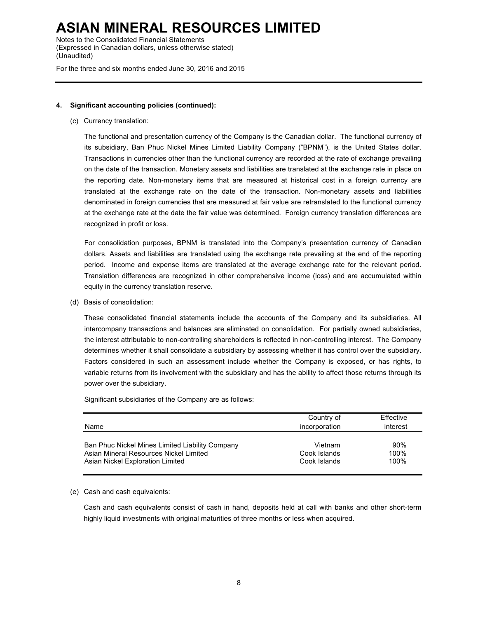Notes to the Consolidated Financial Statements (Expressed in Canadian dollars, unless otherwise stated) (Unaudited)

For the three and six months ended June 30, 2016 and 2015

### **4. Significant accounting policies (continued):**

(c) Currency translation:

The functional and presentation currency of the Company is the Canadian dollar. The functional currency of its subsidiary, Ban Phuc Nickel Mines Limited Liability Company ("BPNM"), is the United States dollar. Transactions in currencies other than the functional currency are recorded at the rate of exchange prevailing on the date of the transaction. Monetary assets and liabilities are translated at the exchange rate in place on the reporting date. Non-monetary items that are measured at historical cost in a foreign currency are translated at the exchange rate on the date of the transaction. Non-monetary assets and liabilities denominated in foreign currencies that are measured at fair value are retranslated to the functional currency at the exchange rate at the date the fair value was determined. Foreign currency translation differences are recognized in profit or loss.

For consolidation purposes, BPNM is translated into the Company's presentation currency of Canadian dollars. Assets and liabilities are translated using the exchange rate prevailing at the end of the reporting period. Income and expense items are translated at the average exchange rate for the relevant period. Translation differences are recognized in other comprehensive income (loss) and are accumulated within equity in the currency translation reserve.

(d) Basis of consolidation:

These consolidated financial statements include the accounts of the Company and its subsidiaries. All intercompany transactions and balances are eliminated on consolidation. For partially owned subsidiaries, the interest attributable to non-controlling shareholders is reflected in non-controlling interest. The Company determines whether it shall consolidate a subsidiary by assessing whether it has control over the subsidiary. Factors considered in such an assessment include whether the Company is exposed, or has rights, to variable returns from its involvement with the subsidiary and has the ability to affect those returns through its power over the subsidiary.

Significant subsidiaries of the Company are as follows:

| Name                                            | Country of<br>incorporation | Effective<br>interest |
|-------------------------------------------------|-----------------------------|-----------------------|
| Ban Phuc Nickel Mines Limited Liability Company | Vietnam                     | 90%                   |
| Asian Mineral Resources Nickel Limited          | Cook Islands                | 100%                  |
| Asian Nickel Exploration Limited                | Cook Islands                | 100%                  |

#### (e) Cash and cash equivalents:

Cash and cash equivalents consist of cash in hand, deposits held at call with banks and other short-term highly liquid investments with original maturities of three months or less when acquired.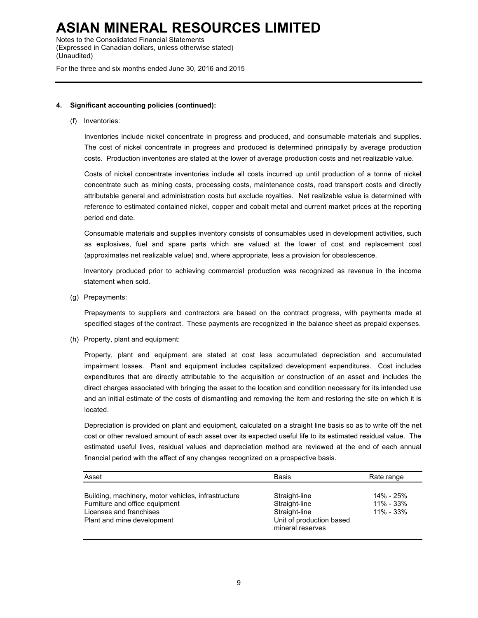Notes to the Consolidated Financial Statements (Expressed in Canadian dollars, unless otherwise stated) (Unaudited)

For the three and six months ended June 30, 2016 and 2015

### **4. Significant accounting policies (continued):**

#### (f) Inventories:

Inventories include nickel concentrate in progress and produced, and consumable materials and supplies. The cost of nickel concentrate in progress and produced is determined principally by average production costs. Production inventories are stated at the lower of average production costs and net realizable value.

Costs of nickel concentrate inventories include all costs incurred up until production of a tonne of nickel concentrate such as mining costs, processing costs, maintenance costs, road transport costs and directly attributable general and administration costs but exclude royalties. Net realizable value is determined with reference to estimated contained nickel, copper and cobalt metal and current market prices at the reporting period end date.

Consumable materials and supplies inventory consists of consumables used in development activities, such as explosives, fuel and spare parts which are valued at the lower of cost and replacement cost (approximates net realizable value) and, where appropriate, less a provision for obsolescence.

Inventory produced prior to achieving commercial production was recognized as revenue in the income statement when sold.

(g) Prepayments:

Prepayments to suppliers and contractors are based on the contract progress, with payments made at specified stages of the contract. These payments are recognized in the balance sheet as prepaid expenses.

(h) Property, plant and equipment:

Property, plant and equipment are stated at cost less accumulated depreciation and accumulated impairment losses. Plant and equipment includes capitalized development expenditures. Cost includes expenditures that are directly attributable to the acquisition or construction of an asset and includes the direct charges associated with bringing the asset to the location and condition necessary for its intended use and an initial estimate of the costs of dismantling and removing the item and restoring the site on which it is located.

Depreciation is provided on plant and equipment, calculated on a straight line basis so as to write off the net cost or other revalued amount of each asset over its expected useful life to its estimated residual value. The estimated useful lives, residual values and depreciation method are reviewed at the end of each annual financial period with the affect of any changes recognized on a prospective basis.

| Asset                                                                                                                                          | <b>Basis</b>                                                                                    | Rate range                              |
|------------------------------------------------------------------------------------------------------------------------------------------------|-------------------------------------------------------------------------------------------------|-----------------------------------------|
| Building, machinery, motor vehicles, infrastructure<br>Furniture and office equipment<br>Licenses and franchises<br>Plant and mine development | Straight-line<br>Straight-line<br>Straight-line<br>Unit of production based<br>mineral reserves | 14% - 25%<br>11% - 33%<br>$11\% - 33\%$ |
|                                                                                                                                                |                                                                                                 |                                         |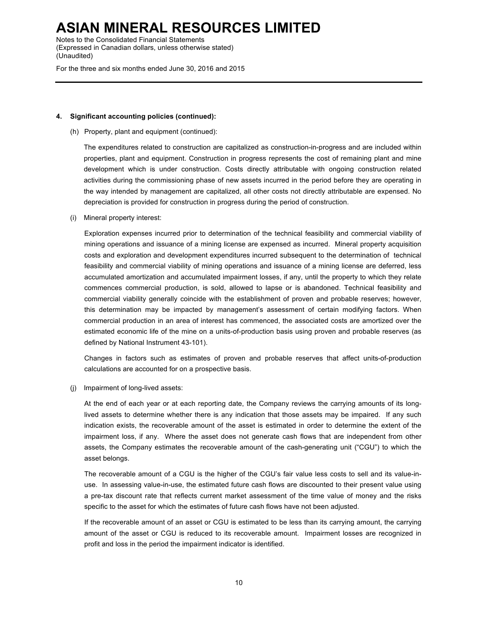Notes to the Consolidated Financial Statements (Expressed in Canadian dollars, unless otherwise stated) (Unaudited)

For the three and six months ended June 30, 2016 and 2015

#### **4. Significant accounting policies (continued):**

(h) Property, plant and equipment (continued):

The expenditures related to construction are capitalized as construction-in-progress and are included within properties, plant and equipment. Construction in progress represents the cost of remaining plant and mine development which is under construction. Costs directly attributable with ongoing construction related activities during the commissioning phase of new assets incurred in the period before they are operating in the way intended by management are capitalized, all other costs not directly attributable are expensed. No depreciation is provided for construction in progress during the period of construction.

(i) Mineral property interest:

Exploration expenses incurred prior to determination of the technical feasibility and commercial viability of mining operations and issuance of a mining license are expensed as incurred. Mineral property acquisition costs and exploration and development expenditures incurred subsequent to the determination of technical feasibility and commercial viability of mining operations and issuance of a mining license are deferred, less accumulated amortization and accumulated impairment losses, if any, until the property to which they relate commences commercial production, is sold, allowed to lapse or is abandoned. Technical feasibility and commercial viability generally coincide with the establishment of proven and probable reserves; however, this determination may be impacted by management's assessment of certain modifying factors. When commercial production in an area of interest has commenced, the associated costs are amortized over the estimated economic life of the mine on a units-of-production basis using proven and probable reserves (as defined by National Instrument 43-101).

Changes in factors such as estimates of proven and probable reserves that affect units-of-production calculations are accounted for on a prospective basis.

(j) Impairment of long-lived assets:

At the end of each year or at each reporting date, the Company reviews the carrying amounts of its longlived assets to determine whether there is any indication that those assets may be impaired. If any such indication exists, the recoverable amount of the asset is estimated in order to determine the extent of the impairment loss, if any. Where the asset does not generate cash flows that are independent from other assets, the Company estimates the recoverable amount of the cash-generating unit ("CGU") to which the asset belongs.

The recoverable amount of a CGU is the higher of the CGU's fair value less costs to sell and its value-inuse. In assessing value-in-use, the estimated future cash flows are discounted to their present value using a pre-tax discount rate that reflects current market assessment of the time value of money and the risks specific to the asset for which the estimates of future cash flows have not been adjusted.

If the recoverable amount of an asset or CGU is estimated to be less than its carrying amount, the carrying amount of the asset or CGU is reduced to its recoverable amount. Impairment losses are recognized in profit and loss in the period the impairment indicator is identified.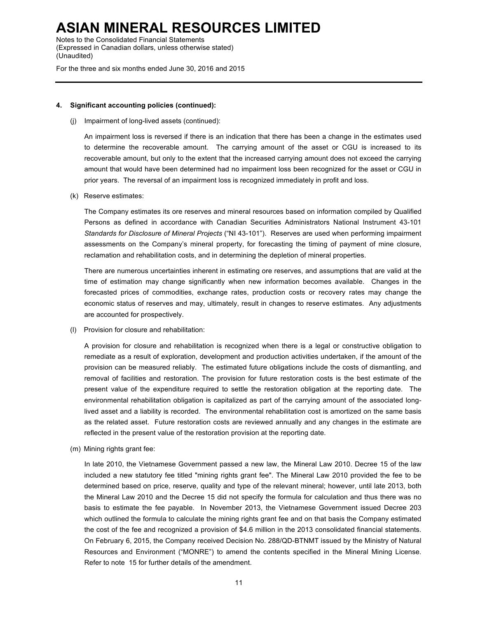Notes to the Consolidated Financial Statements (Expressed in Canadian dollars, unless otherwise stated) (Unaudited)

For the three and six months ended June 30, 2016 and 2015

#### **4. Significant accounting policies (continued):**

(j) Impairment of long-lived assets (continued):

An impairment loss is reversed if there is an indication that there has been a change in the estimates used to determine the recoverable amount. The carrying amount of the asset or CGU is increased to its recoverable amount, but only to the extent that the increased carrying amount does not exceed the carrying amount that would have been determined had no impairment loss been recognized for the asset or CGU in prior years. The reversal of an impairment loss is recognized immediately in profit and loss.

(k) Reserve estimates:

The Company estimates its ore reserves and mineral resources based on information compiled by Qualified Persons as defined in accordance with Canadian Securities Administrators National Instrument 43-101 *Standards for Disclosure of Mineral Projects* ("NI 43-101"). Reserves are used when performing impairment assessments on the Company's mineral property, for forecasting the timing of payment of mine closure, reclamation and rehabilitation costs, and in determining the depletion of mineral properties.

There are numerous uncertainties inherent in estimating ore reserves, and assumptions that are valid at the time of estimation may change significantly when new information becomes available. Changes in the forecasted prices of commodities, exchange rates, production costs or recovery rates may change the economic status of reserves and may, ultimately, result in changes to reserve estimates. Any adjustments are accounted for prospectively.

(l) Provision for closure and rehabilitation:

A provision for closure and rehabilitation is recognized when there is a legal or constructive obligation to remediate as a result of exploration, development and production activities undertaken, if the amount of the provision can be measured reliably. The estimated future obligations include the costs of dismantling, and removal of facilities and restoration. The provision for future restoration costs is the best estimate of the present value of the expenditure required to settle the restoration obligation at the reporting date. The environmental rehabilitation obligation is capitalized as part of the carrying amount of the associated longlived asset and a liability is recorded. The environmental rehabilitation cost is amortized on the same basis as the related asset. Future restoration costs are reviewed annually and any changes in the estimate are reflected in the present value of the restoration provision at the reporting date.

(m) Mining rights grant fee:

In late 2010, the Vietnamese Government passed a new law, the Mineral Law 2010. Decree 15 of the law included a new statutory fee titled "mining rights grant fee". The Mineral Law 2010 provided the fee to be determined based on price, reserve, quality and type of the relevant mineral; however, until late 2013, both the Mineral Law 2010 and the Decree 15 did not specify the formula for calculation and thus there was no basis to estimate the fee payable. In November 2013, the Vietnamese Government issued Decree 203 which outlined the formula to calculate the mining rights grant fee and on that basis the Company estimated the cost of the fee and recognized a provision of \$4.6 million in the 2013 consolidated financial statements. On February 6, 2015, the Company received Decision No. 288/QD-BTNMT issued by the Ministry of Natural Resources and Environment ("MONRE") to amend the contents specified in the Mineral Mining License. Refer to note 15 for further details of the amendment.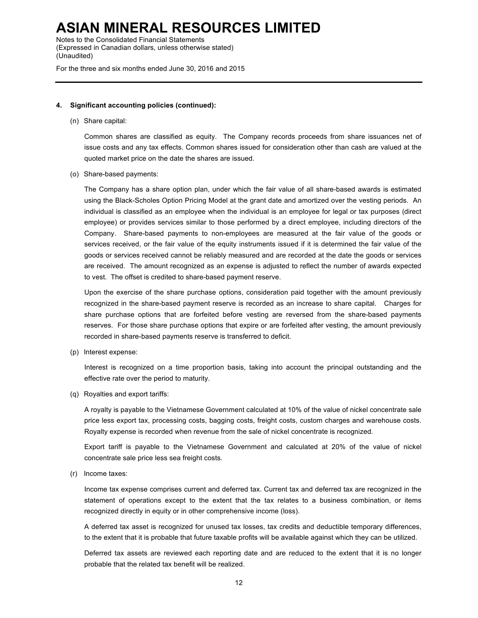Notes to the Consolidated Financial Statements (Expressed in Canadian dollars, unless otherwise stated) (Unaudited)

For the three and six months ended June 30, 2016 and 2015

#### **4. Significant accounting policies (continued):**

(n) Share capital:

Common shares are classified as equity. The Company records proceeds from share issuances net of issue costs and any tax effects. Common shares issued for consideration other than cash are valued at the quoted market price on the date the shares are issued.

(o) Share-based payments:

The Company has a share option plan, under which the fair value of all share-based awards is estimated using the Black-Scholes Option Pricing Model at the grant date and amortized over the vesting periods. An individual is classified as an employee when the individual is an employee for legal or tax purposes (direct employee) or provides services similar to those performed by a direct employee, including directors of the Company. Share-based payments to non-employees are measured at the fair value of the goods or services received, or the fair value of the equity instruments issued if it is determined the fair value of the goods or services received cannot be reliably measured and are recorded at the date the goods or services are received. The amount recognized as an expense is adjusted to reflect the number of awards expected to vest. The offset is credited to share-based payment reserve.

Upon the exercise of the share purchase options, consideration paid together with the amount previously recognized in the share-based payment reserve is recorded as an increase to share capital. Charges for share purchase options that are forfeited before vesting are reversed from the share-based payments reserves. For those share purchase options that expire or are forfeited after vesting, the amount previously recorded in share-based payments reserve is transferred to deficit.

(p) Interest expense:

Interest is recognized on a time proportion basis, taking into account the principal outstanding and the effective rate over the period to maturity.

(q) Royalties and export tariffs:

A royalty is payable to the Vietnamese Government calculated at 10% of the value of nickel concentrate sale price less export tax, processing costs, bagging costs, freight costs, custom charges and warehouse costs. Royalty expense is recorded when revenue from the sale of nickel concentrate is recognized.

Export tariff is payable to the Vietnamese Government and calculated at 20% of the value of nickel concentrate sale price less sea freight costs.

(r) Income taxes:

Income tax expense comprises current and deferred tax. Current tax and deferred tax are recognized in the statement of operations except to the extent that the tax relates to a business combination, or items recognized directly in equity or in other comprehensive income (loss).

A deferred tax asset is recognized for unused tax losses, tax credits and deductible temporary differences, to the extent that it is probable that future taxable profits will be available against which they can be utilized.

Deferred tax assets are reviewed each reporting date and are reduced to the extent that it is no longer probable that the related tax benefit will be realized.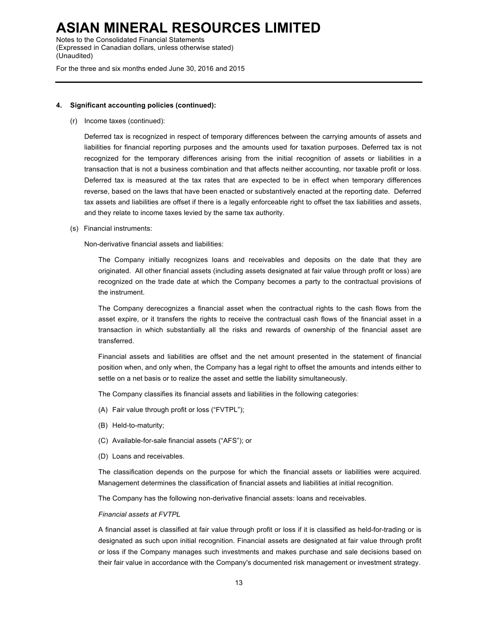Notes to the Consolidated Financial Statements (Expressed in Canadian dollars, unless otherwise stated) (Unaudited)

For the three and six months ended June 30, 2016 and 2015

#### **4. Significant accounting policies (continued):**

(r) Income taxes (continued):

Deferred tax is recognized in respect of temporary differences between the carrying amounts of assets and liabilities for financial reporting purposes and the amounts used for taxation purposes. Deferred tax is not recognized for the temporary differences arising from the initial recognition of assets or liabilities in a transaction that is not a business combination and that affects neither accounting, nor taxable profit or loss. Deferred tax is measured at the tax rates that are expected to be in effect when temporary differences reverse, based on the laws that have been enacted or substantively enacted at the reporting date. Deferred tax assets and liabilities are offset if there is a legally enforceable right to offset the tax liabilities and assets, and they relate to income taxes levied by the same tax authority.

(s) Financial instruments:

Non-derivative financial assets and liabilities:

The Company initially recognizes loans and receivables and deposits on the date that they are originated. All other financial assets (including assets designated at fair value through profit or loss) are recognized on the trade date at which the Company becomes a party to the contractual provisions of the instrument.

The Company derecognizes a financial asset when the contractual rights to the cash flows from the asset expire, or it transfers the rights to receive the contractual cash flows of the financial asset in a transaction in which substantially all the risks and rewards of ownership of the financial asset are transferred.

Financial assets and liabilities are offset and the net amount presented in the statement of financial position when, and only when, the Company has a legal right to offset the amounts and intends either to settle on a net basis or to realize the asset and settle the liability simultaneously.

The Company classifies its financial assets and liabilities in the following categories:

- (A) Fair value through profit or loss ("FVTPL");
- (B) Held-to-maturity;
- (C) Available-for-sale financial assets ("AFS"); or
- (D) Loans and receivables.

The classification depends on the purpose for which the financial assets or liabilities were acquired. Management determines the classification of financial assets and liabilities at initial recognition.

The Company has the following non-derivative financial assets: loans and receivables.

### *Financial assets at FVTPL*

A financial asset is classified at fair value through profit or loss if it is classified as held-for-trading or is designated as such upon initial recognition. Financial assets are designated at fair value through profit or loss if the Company manages such investments and makes purchase and sale decisions based on their fair value in accordance with the Company's documented risk management or investment strategy.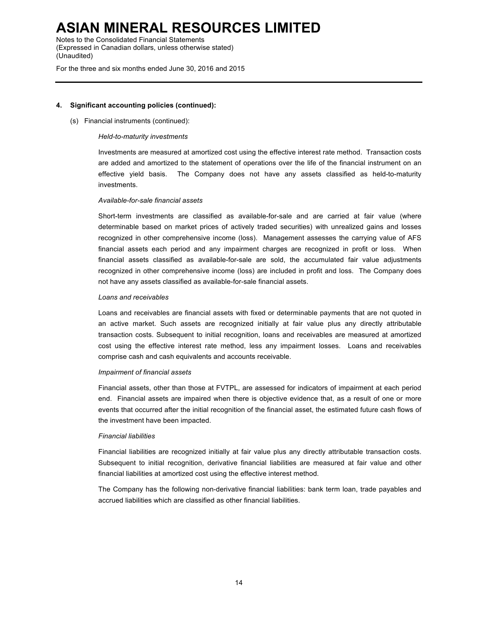Notes to the Consolidated Financial Statements (Expressed in Canadian dollars, unless otherwise stated) (Unaudited)

For the three and six months ended June 30, 2016 and 2015

#### **4. Significant accounting policies (continued):**

(s) Financial instruments (continued):

### *Held-to-maturity investments*

Investments are measured at amortized cost using the effective interest rate method. Transaction costs are added and amortized to the statement of operations over the life of the financial instrument on an effective yield basis. The Company does not have any assets classified as held-to-maturity investments.

#### *Available-for-sale financial assets*

Short-term investments are classified as available-for-sale and are carried at fair value (where determinable based on market prices of actively traded securities) with unrealized gains and losses recognized in other comprehensive income (loss). Management assesses the carrying value of AFS financial assets each period and any impairment charges are recognized in profit or loss. When financial assets classified as available-for-sale are sold, the accumulated fair value adjustments recognized in other comprehensive income (loss) are included in profit and loss. The Company does not have any assets classified as available-for-sale financial assets.

#### *Loans and receivables*

Loans and receivables are financial assets with fixed or determinable payments that are not quoted in an active market. Such assets are recognized initially at fair value plus any directly attributable transaction costs. Subsequent to initial recognition, loans and receivables are measured at amortized cost using the effective interest rate method, less any impairment losses. Loans and receivables comprise cash and cash equivalents and accounts receivable.

#### *Impairment of financial assets*

Financial assets, other than those at FVTPL, are assessed for indicators of impairment at each period end. Financial assets are impaired when there is objective evidence that, as a result of one or more events that occurred after the initial recognition of the financial asset, the estimated future cash flows of the investment have been impacted.

### *Financial liabilities*

Financial liabilities are recognized initially at fair value plus any directly attributable transaction costs. Subsequent to initial recognition, derivative financial liabilities are measured at fair value and other financial liabilities at amortized cost using the effective interest method.

The Company has the following non-derivative financial liabilities: bank term loan, trade payables and accrued liabilities which are classified as other financial liabilities.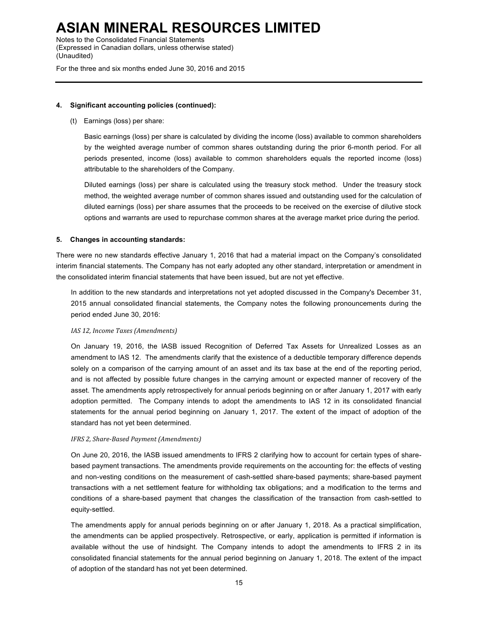Notes to the Consolidated Financial Statements (Expressed in Canadian dollars, unless otherwise stated) (Unaudited)

For the three and six months ended June 30, 2016 and 2015

### **4. Significant accounting policies (continued):**

(t) Earnings (loss) per share:

Basic earnings (loss) per share is calculated by dividing the income (loss) available to common shareholders by the weighted average number of common shares outstanding during the prior 6-month period. For all periods presented, income (loss) available to common shareholders equals the reported income (loss) attributable to the shareholders of the Company.

Diluted earnings (loss) per share is calculated using the treasury stock method. Under the treasury stock method, the weighted average number of common shares issued and outstanding used for the calculation of diluted earnings (loss) per share assumes that the proceeds to be received on the exercise of dilutive stock options and warrants are used to repurchase common shares at the average market price during the period.

### **5. Changes in accounting standards:**

There were no new standards effective January 1, 2016 that had a material impact on the Company's consolidated interim financial statements. The Company has not early adopted any other standard, interpretation or amendment in the consolidated interim financial statements that have been issued, but are not yet effective.

In addition to the new standards and interpretations not yet adopted discussed in the Company's December 31, 2015 annual consolidated financial statements, the Company notes the following pronouncements during the period ended June 30, 2016:

#### *IAS 12, Income Taxes (Amendments)*

On January 19, 2016, the IASB issued Recognition of Deferred Tax Assets for Unrealized Losses as an amendment to IAS 12. The amendments clarify that the existence of a deductible temporary difference depends solely on a comparison of the carrying amount of an asset and its tax base at the end of the reporting period, and is not affected by possible future changes in the carrying amount or expected manner of recovery of the asset. The amendments apply retrospectively for annual periods beginning on or after January 1, 2017 with early adoption permitted. The Company intends to adopt the amendments to IAS 12 in its consolidated financial statements for the annual period beginning on January 1, 2017. The extent of the impact of adoption of the standard has not yet been determined.

#### *IFRS 2, Share-Based Payment (Amendments)*

On June 20, 2016, the IASB issued amendments to IFRS 2 clarifying how to account for certain types of sharebased payment transactions. The amendments provide requirements on the accounting for: the effects of vesting and non-vesting conditions on the measurement of cash-settled share-based payments; share-based payment transactions with a net settlement feature for withholding tax obligations; and a modification to the terms and conditions of a share-based payment that changes the classification of the transaction from cash-settled to equity-settled.

The amendments apply for annual periods beginning on or after January 1, 2018. As a practical simplification, the amendments can be applied prospectively. Retrospective, or early, application is permitted if information is available without the use of hindsight. The Company intends to adopt the amendments to IFRS 2 in its consolidated financial statements for the annual period beginning on January 1, 2018. The extent of the impact of adoption of the standard has not yet been determined.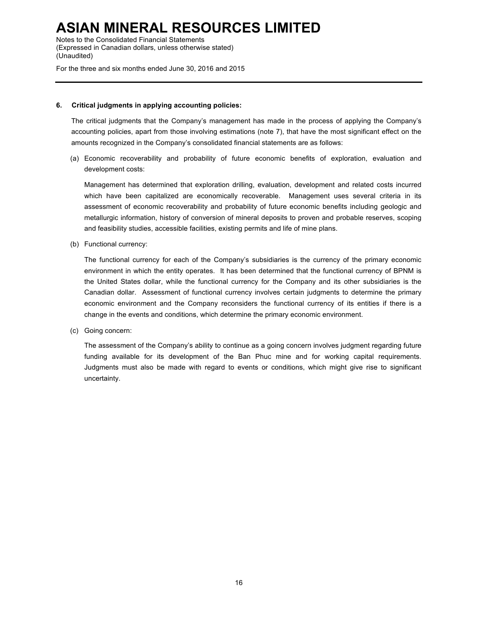Notes to the Consolidated Financial Statements (Expressed in Canadian dollars, unless otherwise stated) (Unaudited)

For the three and six months ended June 30, 2016 and 2015

#### **6. Critical judgments in applying accounting policies:**

The critical judgments that the Company's management has made in the process of applying the Company's accounting policies, apart from those involving estimations (note 7), that have the most significant effect on the amounts recognized in the Company's consolidated financial statements are as follows:

(a) Economic recoverability and probability of future economic benefits of exploration, evaluation and development costs:

Management has determined that exploration drilling, evaluation, development and related costs incurred which have been capitalized are economically recoverable. Management uses several criteria in its assessment of economic recoverability and probability of future economic benefits including geologic and metallurgic information, history of conversion of mineral deposits to proven and probable reserves, scoping and feasibility studies, accessible facilities, existing permits and life of mine plans.

(b) Functional currency:

The functional currency for each of the Company's subsidiaries is the currency of the primary economic environment in which the entity operates. It has been determined that the functional currency of BPNM is the United States dollar, while the functional currency for the Company and its other subsidiaries is the Canadian dollar. Assessment of functional currency involves certain judgments to determine the primary economic environment and the Company reconsiders the functional currency of its entities if there is a change in the events and conditions, which determine the primary economic environment.

(c) Going concern:

The assessment of the Company's ability to continue as a going concern involves judgment regarding future funding available for its development of the Ban Phuc mine and for working capital requirements. Judgments must also be made with regard to events or conditions, which might give rise to significant uncertainty.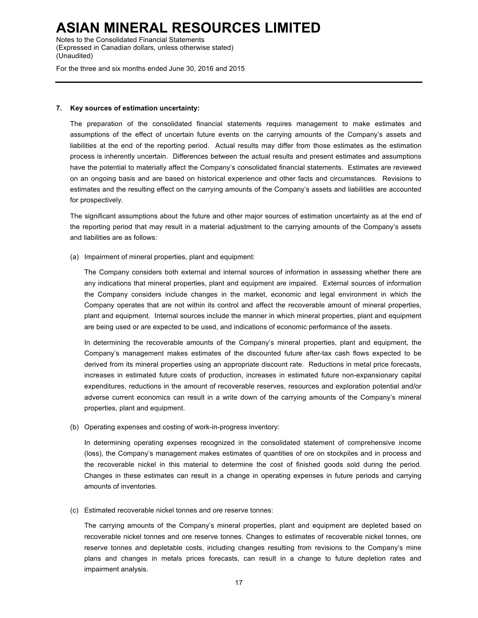Notes to the Consolidated Financial Statements (Expressed in Canadian dollars, unless otherwise stated) (Unaudited)

For the three and six months ended June 30, 2016 and 2015

#### **7. Key sources of estimation uncertainty:**

The preparation of the consolidated financial statements requires management to make estimates and assumptions of the effect of uncertain future events on the carrying amounts of the Company's assets and liabilities at the end of the reporting period. Actual results may differ from those estimates as the estimation process is inherently uncertain. Differences between the actual results and present estimates and assumptions have the potential to materially affect the Company's consolidated financial statements. Estimates are reviewed on an ongoing basis and are based on historical experience and other facts and circumstances. Revisions to estimates and the resulting effect on the carrying amounts of the Company's assets and liabilities are accounted for prospectively.

The significant assumptions about the future and other major sources of estimation uncertainty as at the end of the reporting period that may result in a material adjustment to the carrying amounts of the Company's assets and liabilities are as follows:

(a) Impairment of mineral properties, plant and equipment:

The Company considers both external and internal sources of information in assessing whether there are any indications that mineral properties, plant and equipment are impaired. External sources of information the Company considers include changes in the market, economic and legal environment in which the Company operates that are not within its control and affect the recoverable amount of mineral properties, plant and equipment. Internal sources include the manner in which mineral properties, plant and equipment are being used or are expected to be used, and indications of economic performance of the assets.

In determining the recoverable amounts of the Company's mineral properties, plant and equipment, the Company's management makes estimates of the discounted future after-tax cash flows expected to be derived from its mineral properties using an appropriate discount rate. Reductions in metal price forecasts, increases in estimated future costs of production, increases in estimated future non-expansionary capital expenditures, reductions in the amount of recoverable reserves, resources and exploration potential and/or adverse current economics can result in a write down of the carrying amounts of the Company's mineral properties, plant and equipment.

(b) Operating expenses and costing of work-in-progress inventory:

In determining operating expenses recognized in the consolidated statement of comprehensive income (loss), the Company's management makes estimates of quantities of ore on stockpiles and in process and the recoverable nickel in this material to determine the cost of finished goods sold during the period. Changes in these estimates can result in a change in operating expenses in future periods and carrying amounts of inventories.

(c) Estimated recoverable nickel tonnes and ore reserve tonnes:

The carrying amounts of the Company's mineral properties, plant and equipment are depleted based on recoverable nickel tonnes and ore reserve tonnes. Changes to estimates of recoverable nickel tonnes, ore reserve tonnes and depletable costs, including changes resulting from revisions to the Company's mine plans and changes in metals prices forecasts, can result in a change to future depletion rates and impairment analysis.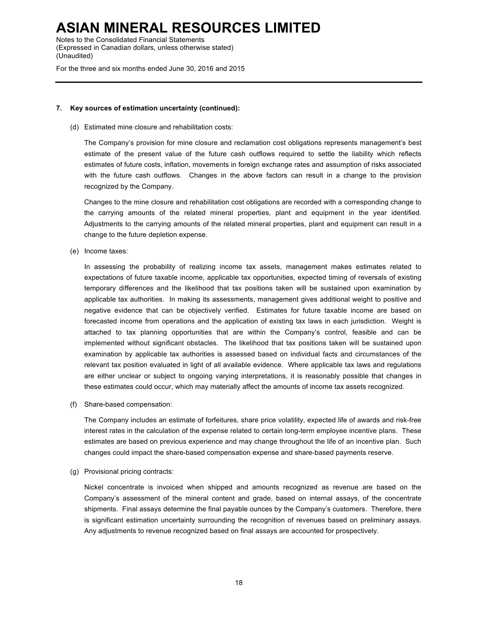Notes to the Consolidated Financial Statements (Expressed in Canadian dollars, unless otherwise stated) (Unaudited)

For the three and six months ended June 30, 2016 and 2015

#### **7. Key sources of estimation uncertainty (continued):**

(d) Estimated mine closure and rehabilitation costs:

The Company's provision for mine closure and reclamation cost obligations represents management's best estimate of the present value of the future cash outflows required to settle the liability which reflects estimates of future costs, inflation, movements in foreign exchange rates and assumption of risks associated with the future cash outflows. Changes in the above factors can result in a change to the provision recognized by the Company.

Changes to the mine closure and rehabilitation cost obligations are recorded with a corresponding change to the carrying amounts of the related mineral properties, plant and equipment in the year identified. Adjustments to the carrying amounts of the related mineral properties, plant and equipment can result in a change to the future depletion expense.

(e) Income taxes:

In assessing the probability of realizing income tax assets, management makes estimates related to expectations of future taxable income, applicable tax opportunities, expected timing of reversals of existing temporary differences and the likelihood that tax positions taken will be sustained upon examination by applicable tax authorities. In making its assessments, management gives additional weight to positive and negative evidence that can be objectively verified. Estimates for future taxable income are based on forecasted income from operations and the application of existing tax laws in each jurisdiction. Weight is attached to tax planning opportunities that are within the Company's control, feasible and can be implemented without significant obstacles. The likelihood that tax positions taken will be sustained upon examination by applicable tax authorities is assessed based on individual facts and circumstances of the relevant tax position evaluated in light of all available evidence. Where applicable tax laws and regulations are either unclear or subject to ongoing varying interpretations, it is reasonably possible that changes in these estimates could occur, which may materially affect the amounts of income tax assets recognized.

(f) Share-based compensation:

The Company includes an estimate of forfeitures, share price volatility, expected life of awards and risk-free interest rates in the calculation of the expense related to certain long-term employee incentive plans. These estimates are based on previous experience and may change throughout the life of an incentive plan. Such changes could impact the share-based compensation expense and share-based payments reserve.

(g) Provisional pricing contracts:

Nickel concentrate is invoiced when shipped and amounts recognized as revenue are based on the Company's assessment of the mineral content and grade, based on internal assays, of the concentrate shipments. Final assays determine the final payable ounces by the Company's customers. Therefore, there is significant estimation uncertainty surrounding the recognition of revenues based on preliminary assays. Any adjustments to revenue recognized based on final assays are accounted for prospectively.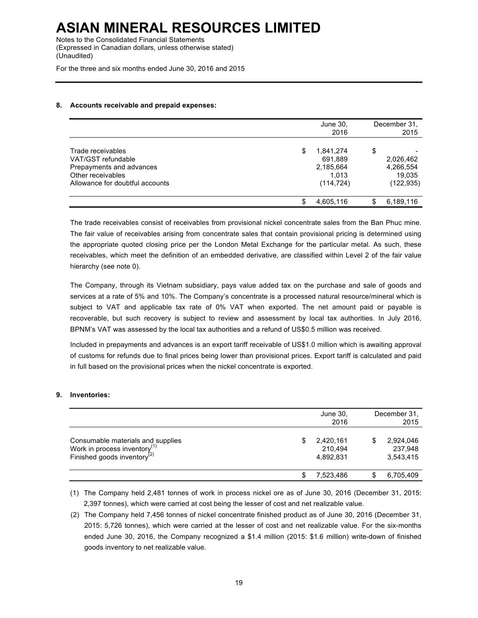Notes to the Consolidated Financial Statements (Expressed in Canadian dollars, unless otherwise stated) (Unaudited)

For the three and six months ended June 30, 2016 and 2015

### **8. Accounts receivable and prepaid expenses:**

|                                                                                                                             |    | June 30,<br>2016                                         |    | December 31.<br>2015                           |
|-----------------------------------------------------------------------------------------------------------------------------|----|----------------------------------------------------------|----|------------------------------------------------|
| Trade receivables<br>VAT/GST refundable<br>Prepayments and advances<br>Other receivables<br>Allowance for doubtful accounts | \$ | 1,841,274<br>691,889<br>2,185,664<br>1.013<br>(114, 724) | \$ | 2,026,462<br>4,266,554<br>19.035<br>(122, 935) |
|                                                                                                                             | S  | 4,605,116                                                | S  | 6,189,116                                      |

The trade receivables consist of receivables from provisional nickel concentrate sales from the Ban Phuc mine. The fair value of receivables arising from concentrate sales that contain provisional pricing is determined using the appropriate quoted closing price per the London Metal Exchange for the particular metal. As such, these receivables, which meet the definition of an embedded derivative, are classified within Level 2 of the fair value hierarchy (see note 0).

The Company, through its Vietnam subsidiary, pays value added tax on the purchase and sale of goods and services at a rate of 5% and 10%. The Company's concentrate is a processed natural resource/mineral which is subject to VAT and applicable tax rate of 0% VAT when exported. The net amount paid or payable is recoverable, but such recovery is subject to review and assessment by local tax authorities. In July 2016, BPNM's VAT was assessed by the local tax authorities and a refund of US\$0.5 million was received.

Included in prepayments and advances is an export tariff receivable of US\$1.0 million which is awaiting approval of customs for refunds due to final prices being lower than provisional prices. Export tariff is calculated and paid in full based on the provisional prices when the nickel concentrate is exported.

### **9. Inventories:**

|                                                                                                                          | June 30,<br>2016                        | December 31.<br>2015              |
|--------------------------------------------------------------------------------------------------------------------------|-----------------------------------------|-----------------------------------|
| Consumable materials and supplies<br>Work in process inventory <sup>(1)</sup><br>Finished goods inventory <sup>(2)</sup> | \$<br>2,420,161<br>210,494<br>4,892,831 | 2,924,046<br>237,948<br>3,543,415 |
|                                                                                                                          | 7,523,486                               | 6,705,409                         |

(1) The Company held 2,481 tonnes of work in process nickel ore as of June 30, 2016 (December 31, 2015: 2,397 tonnes), which were carried at cost being the lesser of cost and net realizable value.

(2) The Company held 7,456 tonnes of nickel concentrate finished product as of June 30, 2016 (December 31, 2015: 5,726 tonnes), which were carried at the lesser of cost and net realizable value. For the six-months ended June 30, 2016, the Company recognized a \$1.4 million (2015: \$1.6 million) write-down of finished goods inventory to net realizable value.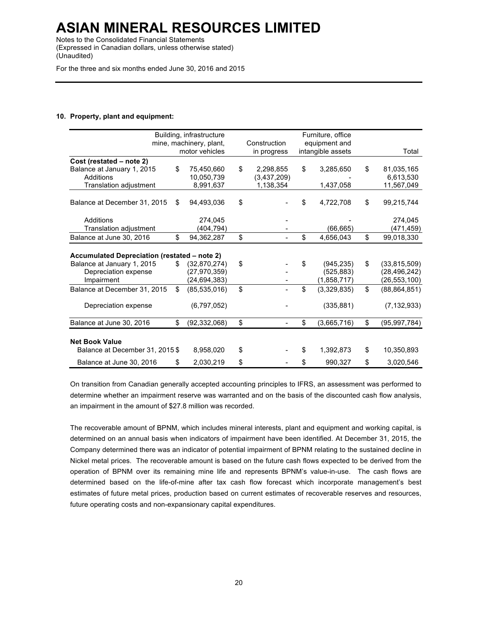Notes to the Consolidated Financial Statements (Expressed in Canadian dollars, unless otherwise stated) (Unaudited)

For the three and six months ended June 30, 2016 and 2015

### **10. Property, plant and equipment:**

|                                                                                   |    | Building, infrastructure |                 | Furniture, office |                      |
|-----------------------------------------------------------------------------------|----|--------------------------|-----------------|-------------------|----------------------|
|                                                                                   |    | mine, machinery, plant,  | Construction    | equipment and     |                      |
|                                                                                   |    | motor vehicles           | in progress     | intangible assets | Total                |
| Cost (restated – note 2)                                                          |    |                          |                 |                   |                      |
| Balance at January 1, 2015                                                        | \$ | 75,450,660               | \$<br>2,298,855 | \$<br>3,285,650   | \$<br>81,035,165     |
| Additions                                                                         |    | 10,050,739               | (3,437,209)     |                   | 6,613,530            |
| Translation adjustment                                                            |    | 8,991,637                | 1,138,354       | 1,437,058         | 11,567,049           |
| Balance at December 31, 2015                                                      | S  | 94,493,036               | \$              | \$<br>4,722,708   | \$<br>99,215,744     |
| Additions                                                                         |    | 274,045                  |                 |                   | 274,045              |
| Translation adjustment                                                            |    | (404,794)                |                 | (66, 665)         | (471,459)            |
| Balance at June 30, 2016                                                          | \$ | 94,362,287               | \$              | \$<br>4,656,043   | \$<br>99,018,330     |
| <b>Accumulated Depreciation (restated – note 2)</b><br>Balance at January 1, 2015 | \$ | (32,870,274)             | \$              | \$<br>(945, 235)  | \$<br>(33,815,509)   |
| Depreciation expense                                                              |    | (27, 970, 359)           |                 | (525, 883)        | (28, 496, 242)       |
| Impairment                                                                        |    | (24, 694, 383)           |                 | (1,858,717)       | (26, 553, 100)       |
| Balance at December 31, 2015                                                      | \$ | (85, 535, 016)           | \$              | \$<br>(3,329,835) | \$<br>(88, 864, 851) |
| Depreciation expense                                                              |    | (6,797,052)              |                 | (335, 881)        | (7, 132, 933)        |
| Balance at June 30, 2016                                                          | \$ | (92, 332, 068)           | \$              | \$<br>(3,665,716) | \$<br>(95, 997, 784) |
|                                                                                   |    |                          |                 |                   |                      |
| <b>Net Book Value</b><br>Balance at December 31, 2015 \$                          |    | 8,958,020                | \$              | \$<br>1,392,873   | \$<br>10,350,893     |
| Balance at June 30, 2016                                                          | \$ | 2,030,219                | \$              | \$<br>990,327     | \$<br>3,020,546      |

On transition from Canadian generally accepted accounting principles to IFRS, an assessment was performed to determine whether an impairment reserve was warranted and on the basis of the discounted cash flow analysis, an impairment in the amount of \$27.8 million was recorded.

The recoverable amount of BPNM, which includes mineral interests, plant and equipment and working capital, is determined on an annual basis when indicators of impairment have been identified. At December 31, 2015, the Company determined there was an indicator of potential impairment of BPNM relating to the sustained decline in Nickel metal prices. The recoverable amount is based on the future cash flows expected to be derived from the operation of BPNM over its remaining mine life and represents BPNM's value-in-use. The cash flows are determined based on the life-of-mine after tax cash flow forecast which incorporate management's best estimates of future metal prices, production based on current estimates of recoverable reserves and resources, future operating costs and non-expansionary capital expenditures.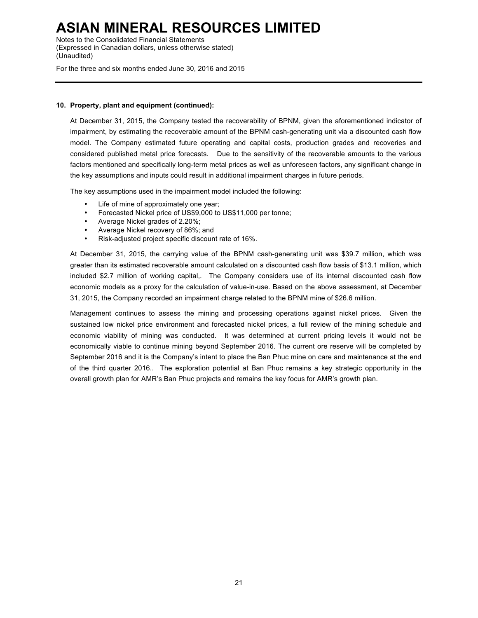Notes to the Consolidated Financial Statements (Expressed in Canadian dollars, unless otherwise stated) (Unaudited)

For the three and six months ended June 30, 2016 and 2015

### **10. Property, plant and equipment (continued):**

At December 31, 2015, the Company tested the recoverability of BPNM, given the aforementioned indicator of impairment, by estimating the recoverable amount of the BPNM cash-generating unit via a discounted cash flow model. The Company estimated future operating and capital costs, production grades and recoveries and considered published metal price forecasts. Due to the sensitivity of the recoverable amounts to the various factors mentioned and specifically long-term metal prices as well as unforeseen factors, any significant change in the key assumptions and inputs could result in additional impairment charges in future periods.

The key assumptions used in the impairment model included the following:

- Life of mine of approximately one year;
- Forecasted Nickel price of US\$9,000 to US\$11,000 per tonne;
- Average Nickel grades of 2.20%;
- Average Nickel recovery of 86%; and
- Risk-adjusted project specific discount rate of 16%.

At December 31, 2015, the carrying value of the BPNM cash-generating unit was \$39.7 million, which was greater than its estimated recoverable amount calculated on a discounted cash flow basis of \$13.1 million, which included \$2.7 million of working capital,. The Company considers use of its internal discounted cash flow economic models as a proxy for the calculation of value-in-use. Based on the above assessment, at December 31, 2015, the Company recorded an impairment charge related to the BPNM mine of \$26.6 million.

Management continues to assess the mining and processing operations against nickel prices. Given the sustained low nickel price environment and forecasted nickel prices, a full review of the mining schedule and economic viability of mining was conducted. It was determined at current pricing levels it would not be economically viable to continue mining beyond September 2016. The current ore reserve will be completed by September 2016 and it is the Company's intent to place the Ban Phuc mine on care and maintenance at the end of the third quarter 2016.. The exploration potential at Ban Phuc remains a key strategic opportunity in the overall growth plan for AMR's Ban Phuc projects and remains the key focus for AMR's growth plan.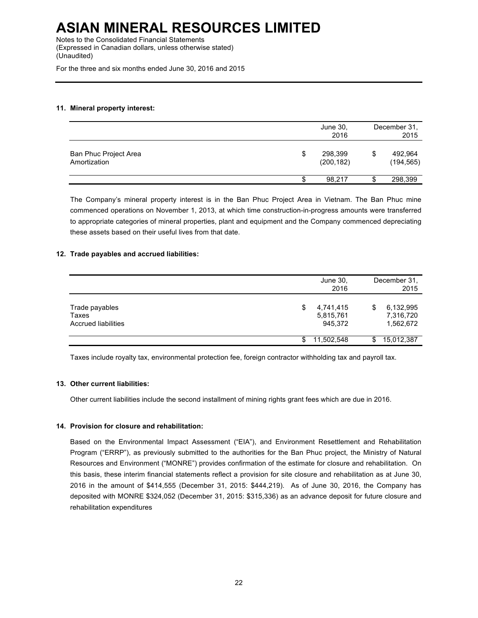Notes to the Consolidated Financial Statements (Expressed in Canadian dollars, unless otherwise stated) (Unaudited)

For the three and six months ended June 30, 2016 and 2015

### **11. Mineral property interest:**

|                                       |   | June 30,<br>2016      |   |                       |
|---------------------------------------|---|-----------------------|---|-----------------------|
| Ban Phuc Project Area<br>Amortization | S | 298,399<br>(200, 182) | S | 492,964<br>(194, 565) |
|                                       |   | 98.217                |   | 298,399               |

The Company's mineral property interest is in the Ban Phuc Project Area in Vietnam. The Ban Phuc mine commenced operations on November 1, 2013, at which time construction-in-progress amounts were transferred to appropriate categories of mineral properties, plant and equipment and the Company commenced depreciating these assets based on their useful lives from that date.

### **12. Trade payables and accrued liabilities:**

|                                                | June 30,<br>2016                        |    | December 31,<br>2015                |
|------------------------------------------------|-----------------------------------------|----|-------------------------------------|
| Trade payables<br>Taxes<br>Accrued liabilities | 4,741,415<br>\$<br>5,815,761<br>945,372 | \$ | 6,132,995<br>7,316,720<br>1,562,672 |
|                                                | 11,502,548                              | S. | 15,012,387                          |

Taxes include royalty tax, environmental protection fee, foreign contractor withholding tax and payroll tax.

#### **13. Other current liabilities:**

Other current liabilities include the second installment of mining rights grant fees which are due in 2016.

### **14. Provision for closure and rehabilitation:**

Based on the Environmental Impact Assessment ("EIA"), and Environment Resettlement and Rehabilitation Program ("ERRP"), as previously submitted to the authorities for the Ban Phuc project, the Ministry of Natural Resources and Environment ("MONRE") provides confirmation of the estimate for closure and rehabilitation. On this basis, these interim financial statements reflect a provision for site closure and rehabilitation as at June 30, 2016 in the amount of \$414,555 (December 31, 2015: \$444,219). As of June 30, 2016, the Company has deposited with MONRE \$324,052 (December 31, 2015: \$315,336) as an advance deposit for future closure and rehabilitation expenditures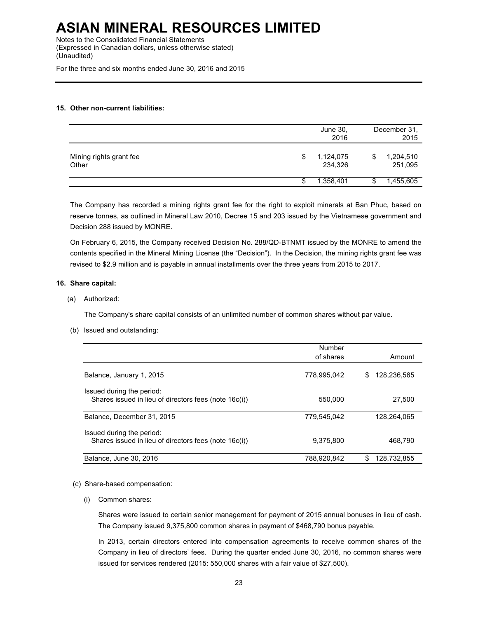Notes to the Consolidated Financial Statements (Expressed in Canadian dollars, unless otherwise stated) (Unaudited)

For the three and six months ended June 30, 2016 and 2015

### **15. Other non-current liabilities:**

|                                  |   | June 30,<br>2016     |   | December 31,<br>2015 |
|----------------------------------|---|----------------------|---|----------------------|
| Mining rights grant fee<br>Other | S | 1,124,075<br>234,326 | S | 1,204,510<br>251,095 |
|                                  | S | 1,358,401            | S | 1,455,605            |

The Company has recorded a mining rights grant fee for the right to exploit minerals at Ban Phuc, based on reserve tonnes, as outlined in Mineral Law 2010, Decree 15 and 203 issued by the Vietnamese government and Decision 288 issued by MONRE.

On February 6, 2015, the Company received Decision No. 288/QD-BTNMT issued by the MONRE to amend the contents specified in the Mineral Mining License (the "Decision"). In the Decision, the mining rights grant fee was revised to \$2.9 million and is payable in annual installments over the three years from 2015 to 2017.

### **16. Share capital:**

(a) Authorized:

The Company's share capital consists of an unlimited number of common shares without par value.

(b) Issued and outstanding:

|                                                                                    | Number<br>of shares | Amount            |
|------------------------------------------------------------------------------------|---------------------|-------------------|
| Balance, January 1, 2015                                                           | 778.995.042         | 128,236,565<br>\$ |
| Issued during the period:<br>Shares issued in lieu of directors fees (note 16c(i)) | 550.000             | 27,500            |
| Balance, December 31, 2015                                                         | 779.545.042         | 128.264.065       |
| Issued during the period:<br>Shares issued in lieu of directors fees (note 16c(i)) | 9.375.800           | 468.790           |
| Balance, June 30, 2016                                                             | 788.920.842         | \$<br>128.732.855 |

#### (c) Share-based compensation:

(i) Common shares:

Shares were issued to certain senior management for payment of 2015 annual bonuses in lieu of cash. The Company issued 9,375,800 common shares in payment of \$468,790 bonus payable.

In 2013, certain directors entered into compensation agreements to receive common shares of the Company in lieu of directors' fees. During the quarter ended June 30, 2016, no common shares were issued for services rendered (2015: 550,000 shares with a fair value of \$27,500).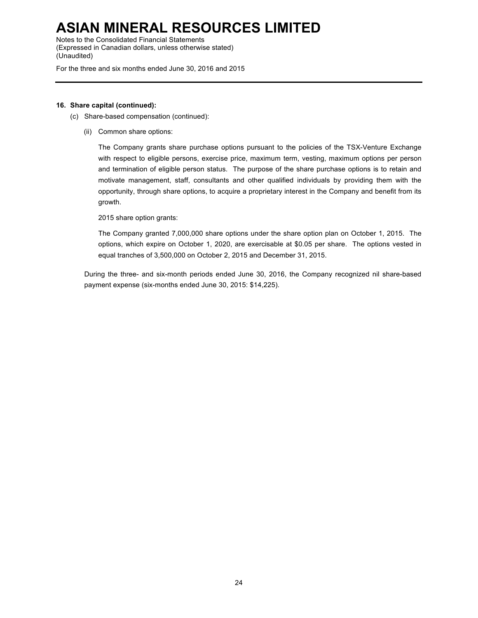Notes to the Consolidated Financial Statements (Expressed in Canadian dollars, unless otherwise stated) (Unaudited)

For the three and six months ended June 30, 2016 and 2015

### **16. Share capital (continued):**

- (c) Share-based compensation (continued):
	- (ii) Common share options:

The Company grants share purchase options pursuant to the policies of the TSX-Venture Exchange with respect to eligible persons, exercise price, maximum term, vesting, maximum options per person and termination of eligible person status. The purpose of the share purchase options is to retain and motivate management, staff, consultants and other qualified individuals by providing them with the opportunity, through share options, to acquire a proprietary interest in the Company and benefit from its growth.

2015 share option grants:

The Company granted 7,000,000 share options under the share option plan on October 1, 2015. The options, which expire on October 1, 2020, are exercisable at \$0.05 per share. The options vested in equal tranches of 3,500,000 on October 2, 2015 and December 31, 2015.

During the three- and six-month periods ended June 30, 2016, the Company recognized nil share-based payment expense (six-months ended June 30, 2015: \$14,225).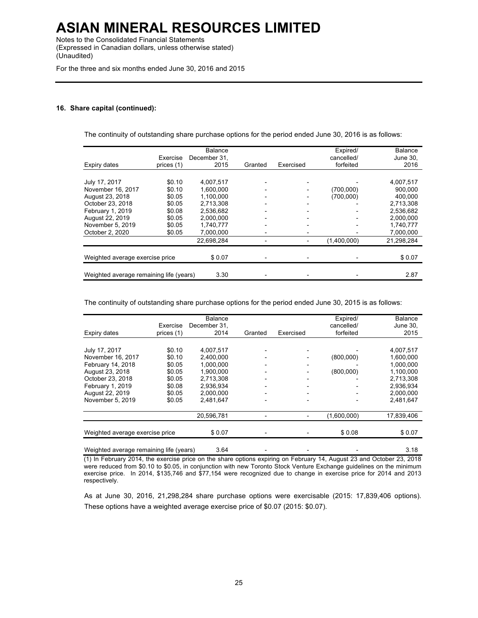Notes to the Consolidated Financial Statements (Expressed in Canadian dollars, unless otherwise stated) (Unaudited)

For the three and six months ended June 30, 2016 and 2015

#### **16. Share capital (continued):**

The continuity of outstanding share purchase options for the period ended June 30, 2016 is as follows:

|                                         |            | Balance      |         |                          | Expired/                 | <b>Balance</b> |
|-----------------------------------------|------------|--------------|---------|--------------------------|--------------------------|----------------|
|                                         | Exercise   | December 31. |         |                          | cancelled/               | June 30.       |
| Expiry dates                            | prices (1) | 2015         | Granted | Exercised                | forfeited                | 2016           |
|                                         |            |              |         |                          |                          |                |
| July 17, 2017                           | \$0.10     | 4,007,517    |         |                          |                          | 4,007,517      |
| November 16, 2017                       | \$0.10     | 1,600,000    |         |                          | (700,000)                | 900.000        |
| August 23, 2018                         | \$0.05     | 1.100.000    |         |                          | (700,000)                | 400,000        |
| October 23, 2018                        | \$0.05     | 2,713,308    |         | $\overline{\phantom{0}}$ |                          | 2,713,308      |
| February 1, 2019                        | \$0.08     | 2.536.682    |         | $\overline{a}$           |                          | 2.536.682      |
| August 22, 2019                         | \$0.05     | 2.000.000    |         | $\overline{\phantom{0}}$ | $\overline{\phantom{0}}$ | 2.000.000      |
| November 5, 2019                        | \$0.05     | 1.740.777    | -       | $\overline{\phantom{0}}$ | -                        | 1.740.777      |
| October 2, 2020                         | \$0.05     | 7.000.000    | -       | $\overline{\phantom{0}}$ |                          | 7.000.000      |
|                                         |            | 22,698,284   |         | $\overline{\phantom{a}}$ | (1,400,000)              | 21,298,284     |
|                                         |            |              |         |                          |                          |                |
| Weighted average exercise price         |            | \$0.07       |         |                          |                          | \$0.07         |
|                                         |            |              |         |                          |                          |                |
| Weighted average remaining life (years) |            | 3.30         |         |                          |                          | 2.87           |

The continuity of outstanding share purchase options for the period ended June 30, 2015 is as follows:

|                                 |            | <b>Balance</b> |         |           | Expired/    | <b>Balance</b> |
|---------------------------------|------------|----------------|---------|-----------|-------------|----------------|
|                                 | Exercise   | December 31.   |         |           | cancelled/  | June 30.       |
| Expiry dates                    | prices (1) | 2014           | Granted | Exercised | forfeited   | 2015           |
|                                 |            |                |         |           |             |                |
| July 17, 2017                   | \$0.10     | 4,007,517      |         |           |             | 4,007,517      |
| November 16, 2017               | \$0.10     | 2.400.000      |         |           | (800,000)   | 1,600,000      |
| February 14, 2018               | \$0.05     | 1.000.000      |         |           |             | 1,000,000      |
| August 23, 2018                 | \$0.05     | 1.900.000      |         |           | (800,000)   | 1.100.000      |
| October 23, 2018                | \$0.05     | 2,713,308      |         |           |             | 2,713,308      |
| February 1, 2019                | \$0.08     | 2.936.934      |         |           |             | 2.936.934      |
| August 22, 2019                 | \$0.05     | 2.000.000      |         |           |             | 2.000.000      |
| November 5, 2019                | \$0.05     | 2,481,647      |         |           |             | 2,481,647      |
|                                 |            | 20,596,781     |         |           | (1,600,000) | 17,839,406     |
| Weighted average exercise price |            | \$0.07         |         |           | \$0.08      | \$0.07         |
|                                 |            |                |         |           |             |                |

Weighted average remaining life (years) 3.64 - - - - - - - - - - - - - 3.18 (1) In February 2014, the exercise price on the share options expiring on February 14, August 23 and October 23, 2018 were reduced from \$0.10 to \$0.05, in conjunction with new Toronto Stock Venture Exchange guidelines on the minimum exercise price. In 2014, \$135,746 and \$77,154 were recognized due to change in exercise price for 2014 and 2013 respectively.

As at June 30, 2016, 21,298,284 share purchase options were exercisable (2015: 17,839,406 options). These options have a weighted average exercise price of \$0.07 (2015: \$0.07).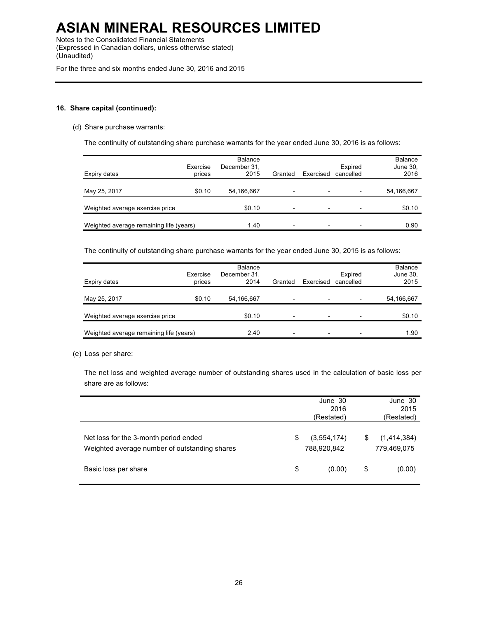Notes to the Consolidated Financial Statements (Expressed in Canadian dollars, unless otherwise stated) (Unaudited)

For the three and six months ended June 30, 2016 and 2015

### **16. Share capital (continued):**

(d) Share purchase warrants:

The continuity of outstanding share purchase warrants for the year ended June 30, 2016 is as follows:

| Expiry dates                            | Exercise<br>prices | Balance<br>December 31,<br>2015 | Granted                  | Exercised                | Expired<br>cancelled | <b>Balance</b><br>June 30,<br>2016 |
|-----------------------------------------|--------------------|---------------------------------|--------------------------|--------------------------|----------------------|------------------------------------|
| May 25, 2017                            | \$0.10             | 54,166,667                      | -                        | -                        |                      | 54,166,667                         |
| Weighted average exercise price         |                    | \$0.10                          | -                        | -                        |                      | \$0.10                             |
| Weighted average remaining life (years) |                    | 1.40                            | $\overline{\phantom{0}}$ | $\overline{\phantom{0}}$ |                      | 0.90                               |

The continuity of outstanding share purchase warrants for the year ended June 30, 2015 is as follows:

| Expiry dates                            | Exercise<br>prices | <b>Balance</b><br>December 31,<br>2014 | Granted                  | Exercised                | Expired<br>cancelled     | <b>Balance</b><br>June 30,<br>2015 |
|-----------------------------------------|--------------------|----------------------------------------|--------------------------|--------------------------|--------------------------|------------------------------------|
| May 25, 2017                            | \$0.10             | 54,166,667                             | $\overline{\phantom{0}}$ | $\overline{\phantom{0}}$ | $\overline{\phantom{0}}$ | 54,166,667                         |
| Weighted average exercise price         |                    | \$0.10                                 | $\overline{\phantom{0}}$ | $\overline{\phantom{0}}$ | $\overline{\phantom{0}}$ | \$0.10                             |
| Weighted average remaining life (years) |                    | 2.40                                   | $\overline{\phantom{a}}$ | $\overline{\phantom{0}}$ | $\overline{\phantom{0}}$ | 1.90                               |

(e) Loss per share:

The net loss and weighted average number of outstanding shares used in the calculation of basic loss per share are as follows:

|                                                                                        |    | June 30<br>2015<br>(Restated) |    |                            |
|----------------------------------------------------------------------------------------|----|-------------------------------|----|----------------------------|
| Net loss for the 3-month period ended<br>Weighted average number of outstanding shares | \$ | (3,554,174)<br>788,920,842    | S  | (1,414,384)<br>779,469,075 |
| Basic loss per share                                                                   | \$ | (0.00)                        | \$ | (0.00)                     |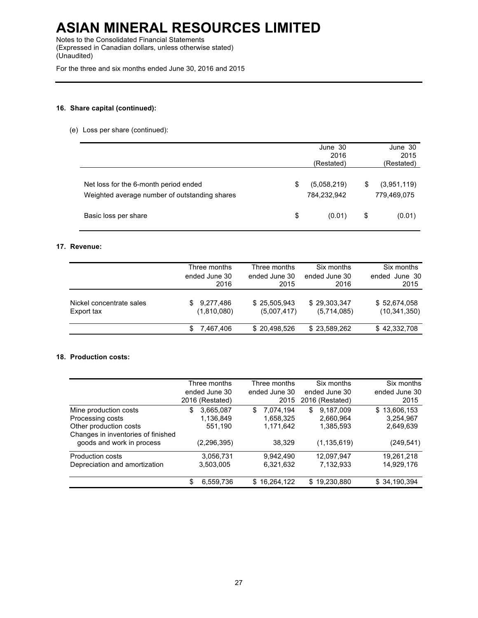Notes to the Consolidated Financial Statements (Expressed in Canadian dollars, unless otherwise stated) (Unaudited)

For the three and six months ended June 30, 2016 and 2015

### **16. Share capital (continued):**

(e) Loss per share (continued):

|                                                                                        | June 30<br>2016<br>(Restated) |                            |    | June 30<br>2015<br>(Restated) |
|----------------------------------------------------------------------------------------|-------------------------------|----------------------------|----|-------------------------------|
| Net loss for the 6-month period ended<br>Weighted average number of outstanding shares | S                             | (5,058,219)<br>784,232,942 | S  | (3,951,119)<br>779,469,075    |
| Basic loss per share                                                                   | \$                            | (0.01)                     | \$ | (0.01)                        |

### **17. Revenue:**

|                                        | Three months<br>ended June 30<br>2016 | Three months<br>ended June 30<br>2015 | Six months<br>ended June 30<br>2016 | Six months<br>June 30<br>ended<br>2015 |
|----------------------------------------|---------------------------------------|---------------------------------------|-------------------------------------|----------------------------------------|
| Nickel concentrate sales<br>Export tax | 9,277,486<br>(1,810,080)              | \$25,505,943<br>(5,007,417)           | \$29,303,347<br>(5,714,085)         | \$52,674,058<br>(10, 341, 350)         |
|                                        | 7,467,406                             | \$20,498,526                          | \$23,589,262                        | \$42,332,708                           |

### **18. Production costs:**

|                                    | Three months<br>ended June 30<br>2016 (Restated) | Three months<br>ended June 30<br>2015 | Six months<br>ended June 30<br>2016 (Restated) | Six months<br>ended June 30<br>2015 |
|------------------------------------|--------------------------------------------------|---------------------------------------|------------------------------------------------|-------------------------------------|
|                                    |                                                  |                                       |                                                |                                     |
| Mine production costs              | 3,665,087<br>\$                                  | 7.074.194<br>\$                       | 9.187.009<br>\$                                | \$13,606,153                        |
| Processing costs                   | 1,136,849                                        | 1,658,325                             | 2,660,964                                      | 3,254,967                           |
| Other production costs             | 551,190                                          | 1,171,642                             | 1,385,593                                      | 2,649,639                           |
| Changes in inventories of finished |                                                  |                                       |                                                |                                     |
| goods and work in process          | (2, 296, 395)                                    | 38.329                                | (1, 135, 619)                                  | (249, 541)                          |
| <b>Production costs</b>            | 3,056,731                                        | 9.942.490                             | 12,097,947                                     | 19.261.218                          |
| Depreciation and amortization      | 3,503,005                                        | 6,321,632                             | 7,132,933                                      | 14,929,176                          |
|                                    | \$<br>6,559,736                                  | \$16,264,122                          | \$19,230,880                                   | \$34,190,394                        |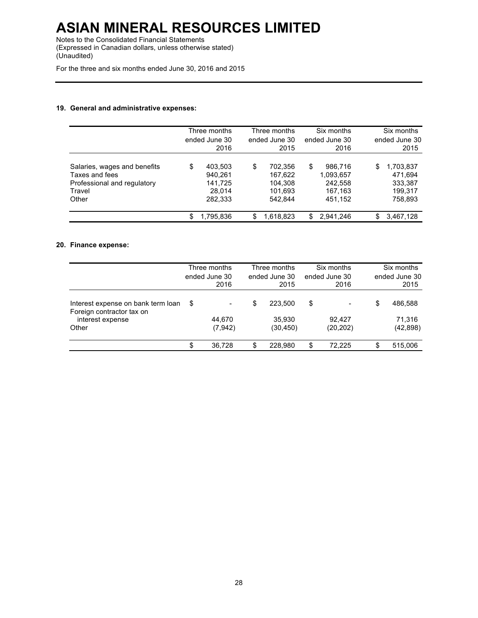Notes to the Consolidated Financial Statements (Expressed in Canadian dollars, unless otherwise stated) (Unaudited)

For the three and six months ended June 30, 2016 and 2015

### **19. General and administrative expenses:**

|                                                                                                  |    | Three months<br>ended June 30<br>2016              |    | Three months<br>ended June 30<br>2015               | Six months<br>ended June 30<br>2016                         | Six months<br>ended June 30<br>2015                         |
|--------------------------------------------------------------------------------------------------|----|----------------------------------------------------|----|-----------------------------------------------------|-------------------------------------------------------------|-------------------------------------------------------------|
| Salaries, wages and benefits<br>Taxes and fees<br>Professional and regulatory<br>Travel<br>Other | \$ | 403.503<br>940.261<br>141,725<br>28.014<br>282,333 | \$ | 702.356<br>167.622<br>104.308<br>101.693<br>542.844 | \$<br>986.716<br>1,093,657<br>242.558<br>167,163<br>451.152 | \$<br>1,703,837<br>471.694<br>333,387<br>199.317<br>758,893 |
|                                                                                                  | S  | 1,795,836                                          | S  | 1,618,823                                           | \$<br>2,941,246                                             | \$<br>3,467,128                                             |

### **20. Finance expense:**

|                                                                                              | Three months<br>ended June 30<br>2016                   | Three months<br>ended June 30<br>2015 | Six months<br>ended June 30<br>2016 | Six months<br>ended June 30<br>2015  |
|----------------------------------------------------------------------------------------------|---------------------------------------------------------|---------------------------------------|-------------------------------------|--------------------------------------|
| Interest expense on bank term loan<br>Foreign contractor tax on<br>interest expense<br>Other | \$<br>$\qquad \qquad \blacksquare$<br>44.670<br>(7,942) | \$<br>223.500<br>35.930<br>(30, 450)  | \$<br>-<br>92.427<br>(20, 202)      | \$<br>486,588<br>71.316<br>(42, 898) |
|                                                                                              | \$<br>36.728                                            | \$<br>228.980                         | \$<br>72.225                        | \$<br>515.006                        |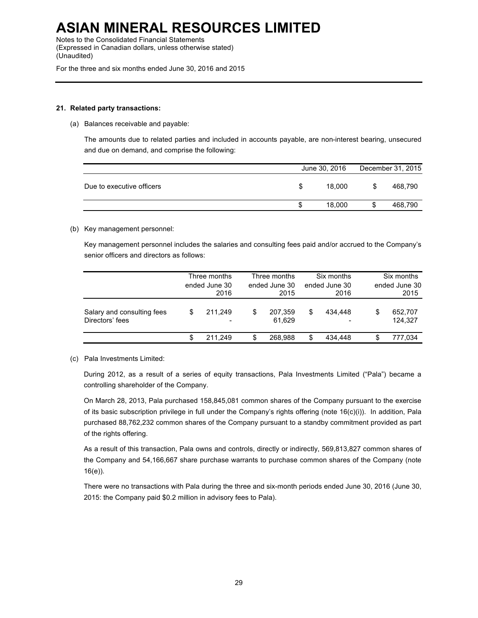Notes to the Consolidated Financial Statements (Expressed in Canadian dollars, unless otherwise stated) (Unaudited)

For the three and six months ended June 30, 2016 and 2015

#### **21. Related party transactions:**

(a) Balances receivable and payable:

The amounts due to related parties and included in accounts payable, are non-interest bearing, unsecured and due on demand, and comprise the following:

| Due to executive officers<br>18.000<br>S<br>S | June 30, 2016<br>December 31, 2015 |
|-----------------------------------------------|------------------------------------|
|                                               | 468.790                            |
|                                               | 18.000<br>468,790<br>S<br>S        |

### (b) Key management personnel:

Key management personnel includes the salaries and consulting fees paid and/or accrued to the Company's senior officers and directors as follows:

|                                               | Three months<br>ended June 30<br>2016 |         | Three months<br>ended June 30<br>2015 |                   | Six months<br>ended June 30<br>2016 |         | Six months<br>ended June 30<br>2015 |                    |
|-----------------------------------------------|---------------------------------------|---------|---------------------------------------|-------------------|-------------------------------------|---------|-------------------------------------|--------------------|
| Salary and consulting fees<br>Directors' fees | S                                     | 211.249 | S                                     | 207,359<br>61.629 | \$                                  | 434.448 | S                                   | 652.707<br>124.327 |
|                                               | S                                     | 211.249 | S                                     | 268.988           | \$                                  | 434.448 |                                     | 777.034            |

### (c) Pala Investments Limited:

During 2012, as a result of a series of equity transactions, Pala Investments Limited ("Pala") became a controlling shareholder of the Company.

On March 28, 2013, Pala purchased 158,845,081 common shares of the Company pursuant to the exercise of its basic subscription privilege in full under the Company's rights offering (note 16(c)(i)). In addition, Pala purchased 88,762,232 common shares of the Company pursuant to a standby commitment provided as part of the rights offering.

As a result of this transaction, Pala owns and controls, directly or indirectly, 569,813,827 common shares of the Company and 54,166,667 share purchase warrants to purchase common shares of the Company (note 16(e)).

There were no transactions with Pala during the three and six-month periods ended June 30, 2016 (June 30, 2015: the Company paid \$0.2 million in advisory fees to Pala).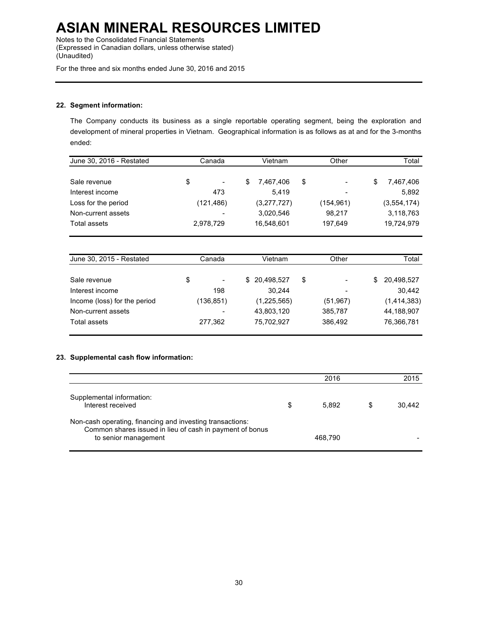Notes to the Consolidated Financial Statements (Expressed in Canadian dollars, unless otherwise stated) (Unaudited)

For the three and six months ended June 30, 2016 and 2015

### **22. Segment information:**

The Company conducts its business as a single reportable operating segment, being the exploration and development of mineral properties in Vietnam. Geographical information is as follows as at and for the 3-months ended:

| June 30, 2016 - Restated                | Canada     | Vietnam                | Other      | Total            |  |
|-----------------------------------------|------------|------------------------|------------|------------------|--|
| Sale revenue                            | \$         | \$<br>\$<br>7,467,406  |            | \$<br>7,467,406  |  |
| Interest income                         | 473        | 5,419                  |            | 5,892            |  |
| Loss for the period                     | (121, 486) | (3,277,727)            | (154, 961) | (3, 554, 174)    |  |
| Non-current assets                      |            | 3,020,546              | 98,217     | 3,118,763        |  |
| 16,548,601<br>Total assets<br>2,978,729 |            |                        | 197,649    | 19,724,979       |  |
|                                         |            |                        |            |                  |  |
| June 30, 2015 - Restated                | Canada     | Vietnam                | Other      | Total            |  |
| Sale revenue                            | \$         | \$<br>20,498,527<br>\$ |            | 20,498,527<br>\$ |  |
| Interest income                         | 198        | 30,244                 |            | 30,442           |  |
| Income (loss) for the period            | (136, 851) | (1,225,565)            | (51, 967)  | (1,414,383)      |  |
| Non-current assets                      |            | 43.803.120             | 385.787    | 44.188.907       |  |

### **23. Supplemental cash flow information:**

|                                                                                                                                               | 2016        |   | 2015   |
|-----------------------------------------------------------------------------------------------------------------------------------------------|-------------|---|--------|
| Supplemental information:<br>Interest received                                                                                                | \$<br>5.892 | S | 30.442 |
| Non-cash operating, financing and investing transactions:<br>Common shares issued in lieu of cash in payment of bonus<br>to senior management | 468.790     |   |        |

Total assets 277,362 75,702,927 386,492 76,366,781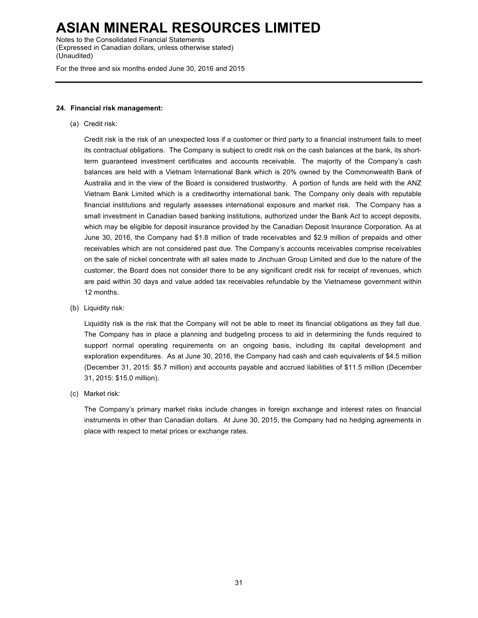Notes to the Consolidated Financial Statements (Expressed in Canadian dollars, unless otherwise stated) (Unaudited)

For the three and six months ended June 30, 2016 and 2015

#### **24. Financial risk management:**

(a) Credit risk:

Credit risk is the risk of an unexpected loss if a customer or third party to a financial instrument fails to meet its contractual obligations. The Company is subject to credit risk on the cash balances at the bank, its shortterm guaranteed investment certificates and accounts receivable. The majority of the Company's cash balances are held with a Vietnam International Bank which is 20% owned by the Commonwealth Bank of Australia and in the view of the Board is considered trustworthy. A portion of funds are held with the ANZ Vietnam Bank Limited which is a creditworthy international bank. The Company only deals with reputable financial institutions and regularly assesses international exposure and market risk. The Company has a small investment in Canadian based banking institutions, authorized under the Bank Act to accept deposits, which may be eligible for deposit insurance provided by the Canadian Deposit Insurance Corporation. As at June 30, 2016, the Company had \$1.8 million of trade receivables and \$2.9 million of prepaids and other receivables which are not considered past due. The Company's accounts receivables comprise receivables on the sale of nickel concentrate with all sales made to Jinchuan Group Limited and due to the nature of the customer, the Board does not consider there to be any significant credit risk for receipt of revenues, which are paid within 30 days and value added tax receivables refundable by the Vietnamese government within 12 months.

(b) Liquidity risk:

Liquidity risk is the risk that the Company will not be able to meet its financial obligations as they fall due. The Company has in place a planning and budgeting process to aid in determining the funds required to support normal operating requirements on an ongoing basis, including its capital development and exploration expenditures. As at June 30, 2016, the Company had cash and cash equivalents of \$4.5 million (December 31, 2015: \$5.7 million) and accounts payable and accrued liabilities of \$11.5 million (December 31, 2015: \$15.0 million).

(c) Market risk:

The Company's primary market risks include changes in foreign exchange and interest rates on financial instruments in other than Canadian dollars. At June 30, 2015, the Company had no hedging agreements in place with respect to metal prices or exchange rates.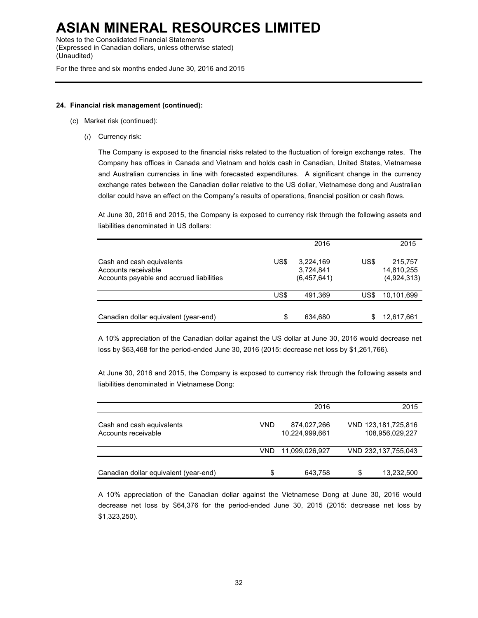Notes to the Consolidated Financial Statements (Expressed in Canadian dollars, unless otherwise stated) (Unaudited)

For the three and six months ended June 30, 2016 and 2015

### **24. Financial risk management (continued):**

- (c) Market risk (continued):
	- (*i*) Currency risk:

The Company is exposed to the financial risks related to the fluctuation of foreign exchange rates. The Company has offices in Canada and Vietnam and holds cash in Canadian, United States, Vietnamese and Australian currencies in line with forecasted expenditures. A significant change in the currency exchange rates between the Canadian dollar relative to the US dollar, Vietnamese dong and Australian dollar could have an effect on the Company's results of operations, financial position or cash flows.

At June 30, 2016 and 2015, the Company is exposed to currency risk through the following assets and liabilities denominated in US dollars:

|                                                                                              |      | 2016                                  |      | 2015                                 |
|----------------------------------------------------------------------------------------------|------|---------------------------------------|------|--------------------------------------|
| Cash and cash equivalents<br>Accounts receivable<br>Accounts payable and accrued liabilities | US\$ | 3,224,169<br>3,724,841<br>(6,457,641) | US\$ | 215,757<br>14,810,255<br>(4,924,313) |
|                                                                                              | US\$ | 491.369                               | US\$ | 10.101.699                           |
| Canadian dollar equivalent (year-end)                                                        | \$   | 634.680                               |      | 12,617,661                           |

A 10% appreciation of the Canadian dollar against the US dollar at June 30, 2016 would decrease net loss by \$63,468 for the period-ended June 30, 2016 (2015: decrease net loss by \$1,261,766).

At June 30, 2016 and 2015, the Company is exposed to currency risk through the following assets and liabilities denominated in Vietnamese Dong:

|                                                  |     | 2016                          |   | 2015                                   |
|--------------------------------------------------|-----|-------------------------------|---|----------------------------------------|
| Cash and cash equivalents<br>Accounts receivable | VND | 874,027,266<br>10,224,999,661 |   | VND 123,181,725,816<br>108,956,029,227 |
|                                                  | VND | 11,099,026,927                |   | VND 232,137,755,043                    |
| Canadian dollar equivalent (year-end)            | \$  | 643.758                       | S | 13,232,500                             |

A 10% appreciation of the Canadian dollar against the Vietnamese Dong at June 30, 2016 would decrease net loss by \$64,376 for the period-ended June 30, 2015 (2015: decrease net loss by \$1,323,250).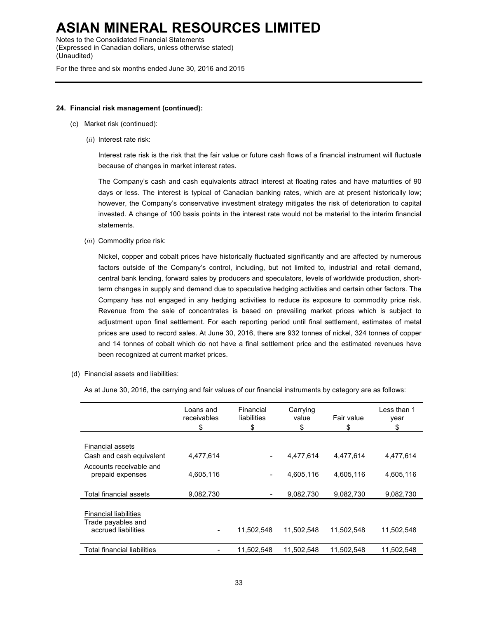Notes to the Consolidated Financial Statements (Expressed in Canadian dollars, unless otherwise stated) (Unaudited)

For the three and six months ended June 30, 2016 and 2015

#### **24. Financial risk management (continued):**

- (c) Market risk (continued):
	- (*ii*) Interest rate risk:

Interest rate risk is the risk that the fair value or future cash flows of a financial instrument will fluctuate because of changes in market interest rates.

The Company's cash and cash equivalents attract interest at floating rates and have maturities of 90 days or less. The interest is typical of Canadian banking rates, which are at present historically low; however, the Company's conservative investment strategy mitigates the risk of deterioration to capital invested. A change of 100 basis points in the interest rate would not be material to the interim financial statements.

(*iii*) Commodity price risk:

Nickel, copper and cobalt prices have historically fluctuated significantly and are affected by numerous factors outside of the Company's control, including, but not limited to, industrial and retail demand, central bank lending, forward sales by producers and speculators, levels of worldwide production, shortterm changes in supply and demand due to speculative hedging activities and certain other factors. The Company has not engaged in any hedging activities to reduce its exposure to commodity price risk. Revenue from the sale of concentrates is based on prevailing market prices which is subject to adjustment upon final settlement. For each reporting period until final settlement, estimates of metal prices are used to record sales. At June 30, 2016, there are 932 tonnes of nickel, 324 tonnes of copper and 14 tonnes of cobalt which do not have a final settlement price and the estimated revenues have been recognized at current market prices.

(d) Financial assets and liabilities:

As at June 30, 2016, the carrying and fair values of our financial instruments by category are as follows:

|                                                                           | Loans and<br>receivables<br>\$ | Financial<br>liabilities<br>\$ | Carrying<br>value<br>\$ | Fair value<br>\$ | Less than 1<br>year<br>\$ |
|---------------------------------------------------------------------------|--------------------------------|--------------------------------|-------------------------|------------------|---------------------------|
|                                                                           |                                |                                |                         |                  |                           |
| <b>Financial assets</b>                                                   |                                |                                |                         |                  |                           |
| Cash and cash equivalent                                                  | 4,477,614                      |                                | 4,477,614               | 4.477.614        | 4,477,614                 |
| Accounts receivable and<br>prepaid expenses                               | 4,605,116                      | $\qquad \qquad \blacksquare$   | 4,605,116               | 4,605,116        | 4,605,116                 |
| Total financial assets                                                    | 9,082,730                      | $\overline{\phantom{a}}$       | 9,082,730               | 9,082,730        | 9,082,730                 |
| <b>Financial liabilities</b><br>Trade payables and<br>accrued liabilities | -                              | 11,502,548                     | 11,502,548              | 11,502,548       | 11,502,548                |
| Total financial liabilities                                               |                                | 11,502,548                     | 11.502.548              | 11.502.548       | 11,502,548                |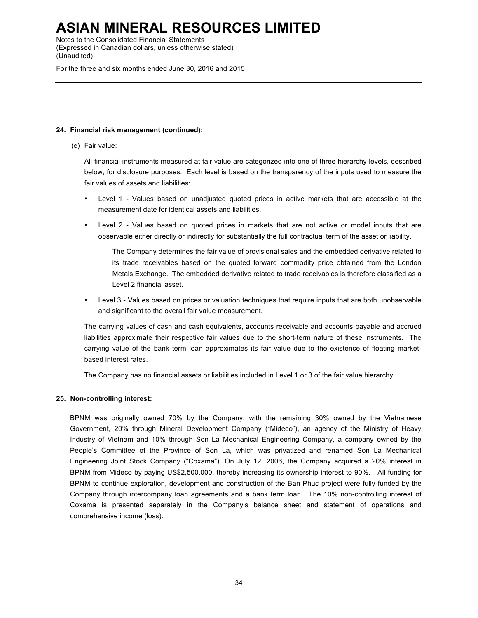Notes to the Consolidated Financial Statements (Expressed in Canadian dollars, unless otherwise stated) (Unaudited)

For the three and six months ended June 30, 2016 and 2015

### **24. Financial risk management (continued):**

(e) Fair value:

All financial instruments measured at fair value are categorized into one of three hierarchy levels, described below, for disclosure purposes. Each level is based on the transparency of the inputs used to measure the fair values of assets and liabilities:

- Level 1 Values based on unadjusted quoted prices in active markets that are accessible at the measurement date for identical assets and liabilities.
- Level 2 Values based on quoted prices in markets that are not active or model inputs that are observable either directly or indirectly for substantially the full contractual term of the asset or liability.

The Company determines the fair value of provisional sales and the embedded derivative related to its trade receivables based on the quoted forward commodity price obtained from the London Metals Exchange. The embedded derivative related to trade receivables is therefore classified as a Level 2 financial asset.

• Level 3 - Values based on prices or valuation techniques that require inputs that are both unobservable and significant to the overall fair value measurement.

The carrying values of cash and cash equivalents, accounts receivable and accounts payable and accrued liabilities approximate their respective fair values due to the short-term nature of these instruments. The carrying value of the bank term loan approximates its fair value due to the existence of floating marketbased interest rates.

The Company has no financial assets or liabilities included in Level 1 or 3 of the fair value hierarchy.

### **25. Non-controlling interest:**

BPNM was originally owned 70% by the Company, with the remaining 30% owned by the Vietnamese Government, 20% through Mineral Development Company ("Mideco"), an agency of the Ministry of Heavy Industry of Vietnam and 10% through Son La Mechanical Engineering Company, a company owned by the People's Committee of the Province of Son La, which was privatized and renamed Son La Mechanical Engineering Joint Stock Company ("Coxama"). On July 12, 2006, the Company acquired a 20% interest in BPNM from Mideco by paying US\$2,500,000, thereby increasing its ownership interest to 90%. All funding for BPNM to continue exploration, development and construction of the Ban Phuc project were fully funded by the Company through intercompany loan agreements and a bank term loan. The 10% non-controlling interest of Coxama is presented separately in the Company's balance sheet and statement of operations and comprehensive income (loss).